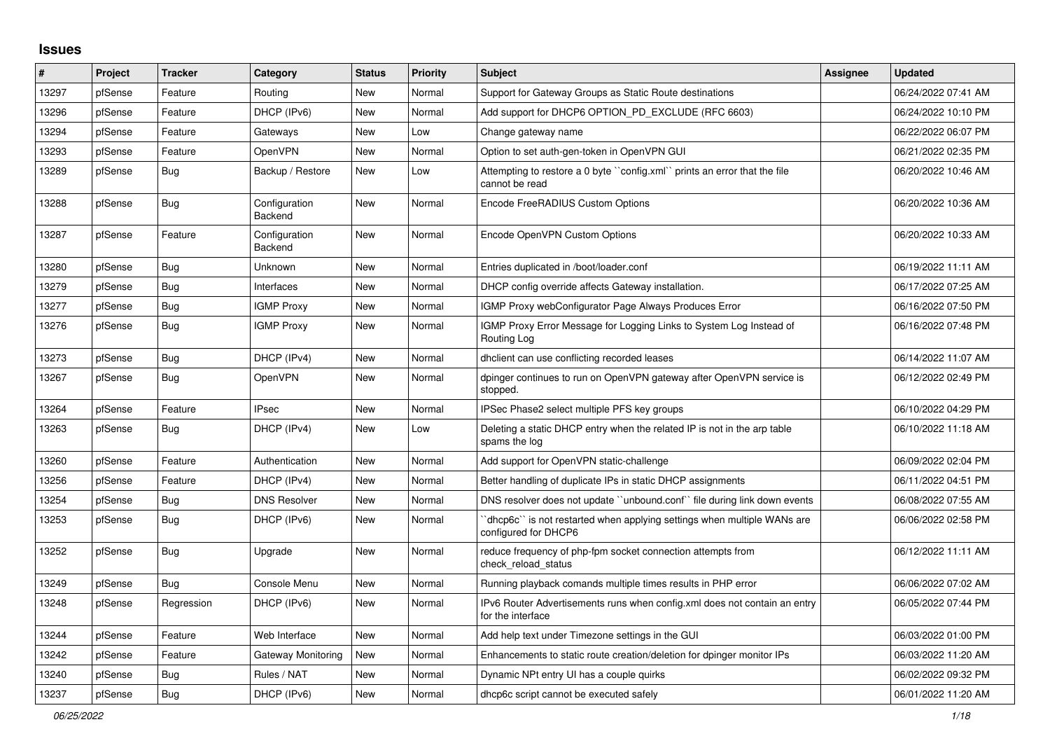## **Issues**

| #     | Project | <b>Tracker</b> | Category                        | <b>Status</b> | <b>Priority</b> | <b>Subject</b>                                                                                 | <b>Assignee</b> | <b>Updated</b>      |
|-------|---------|----------------|---------------------------------|---------------|-----------------|------------------------------------------------------------------------------------------------|-----------------|---------------------|
| 13297 | pfSense | Feature        | Routing                         | New           | Normal          | Support for Gateway Groups as Static Route destinations                                        |                 | 06/24/2022 07:41 AM |
| 13296 | pfSense | Feature        | DHCP (IPv6)                     | <b>New</b>    | Normal          | Add support for DHCP6 OPTION PD EXCLUDE (RFC 6603)                                             |                 | 06/24/2022 10:10 PM |
| 13294 | pfSense | Feature        | Gateways                        | <b>New</b>    | Low             | Change gateway name                                                                            |                 | 06/22/2022 06:07 PM |
| 13293 | pfSense | Feature        | OpenVPN                         | New           | Normal          | Option to set auth-gen-token in OpenVPN GUI                                                    |                 | 06/21/2022 02:35 PM |
| 13289 | pfSense | Bug            | Backup / Restore                | New           | Low             | Attempting to restore a 0 byte "config.xml" prints an error that the file<br>cannot be read    |                 | 06/20/2022 10:46 AM |
| 13288 | pfSense | Bug            | Configuration<br><b>Backend</b> | <b>New</b>    | Normal          | Encode FreeRADIUS Custom Options                                                               |                 | 06/20/2022 10:36 AM |
| 13287 | pfSense | Feature        | Configuration<br><b>Backend</b> | New           | Normal          | Encode OpenVPN Custom Options                                                                  |                 | 06/20/2022 10:33 AM |
| 13280 | pfSense | Bug            | Unknown                         | New           | Normal          | Entries duplicated in /boot/loader.conf                                                        |                 | 06/19/2022 11:11 AM |
| 13279 | pfSense | Bug            | Interfaces                      | New           | Normal          | DHCP config override affects Gateway installation.                                             |                 | 06/17/2022 07:25 AM |
| 13277 | pfSense | <b>Bug</b>     | <b>IGMP Proxy</b>               | New           | Normal          | IGMP Proxy webConfigurator Page Always Produces Error                                          |                 | 06/16/2022 07:50 PM |
| 13276 | pfSense | Bug            | <b>IGMP Proxy</b>               | New           | Normal          | IGMP Proxy Error Message for Logging Links to System Log Instead of<br>Routing Log             |                 | 06/16/2022 07:48 PM |
| 13273 | pfSense | Bug            | DHCP (IPv4)                     | New           | Normal          | dhclient can use conflicting recorded leases                                                   |                 | 06/14/2022 11:07 AM |
| 13267 | pfSense | <b>Bug</b>     | OpenVPN                         | <b>New</b>    | Normal          | dpinger continues to run on OpenVPN gateway after OpenVPN service is<br>stopped.               |                 | 06/12/2022 02:49 PM |
| 13264 | pfSense | Feature        | <b>IPsec</b>                    | <b>New</b>    | Normal          | IPSec Phase2 select multiple PFS key groups                                                    |                 | 06/10/2022 04:29 PM |
| 13263 | pfSense | <b>Bug</b>     | DHCP (IPv4)                     | New           | Low             | Deleting a static DHCP entry when the related IP is not in the arp table<br>spams the log      |                 | 06/10/2022 11:18 AM |
| 13260 | pfSense | Feature        | Authentication                  | <b>New</b>    | Normal          | Add support for OpenVPN static-challenge                                                       |                 | 06/09/2022 02:04 PM |
| 13256 | pfSense | Feature        | DHCP (IPv4)                     | <b>New</b>    | Normal          | Better handling of duplicate IPs in static DHCP assignments                                    |                 | 06/11/2022 04:51 PM |
| 13254 | pfSense | Bug            | <b>DNS Resolver</b>             | New           | Normal          | DNS resolver does not update "unbound.conf" file during link down events                       |                 | 06/08/2022 07:55 AM |
| 13253 | pfSense | Bug            | DHCP (IPv6)                     | New           | Normal          | dhcp6c" is not restarted when applying settings when multiple WANs are<br>configured for DHCP6 |                 | 06/06/2022 02:58 PM |
| 13252 | pfSense | <b>Bug</b>     | Upgrade                         | <b>New</b>    | Normal          | reduce frequency of php-fpm socket connection attempts from<br>check reload status             |                 | 06/12/2022 11:11 AM |
| 13249 | pfSense | Bug            | Console Menu                    | New           | Normal          | Running playback comands multiple times results in PHP error                                   |                 | 06/06/2022 07:02 AM |
| 13248 | pfSense | Regression     | DHCP (IPv6)                     | <b>New</b>    | Normal          | IPv6 Router Advertisements runs when config.xml does not contain an entry<br>for the interface |                 | 06/05/2022 07:44 PM |
| 13244 | pfSense | Feature        | Web Interface                   | <b>New</b>    | Normal          | Add help text under Timezone settings in the GUI                                               |                 | 06/03/2022 01:00 PM |
| 13242 | pfSense | Feature        | Gateway Monitoring              | New           | Normal          | Enhancements to static route creation/deletion for dpinger monitor IPs                         |                 | 06/03/2022 11:20 AM |
| 13240 | pfSense | Bug            | Rules / NAT                     | New           | Normal          | Dynamic NPt entry UI has a couple quirks                                                       |                 | 06/02/2022 09:32 PM |
| 13237 | pfSense | <b>Bug</b>     | DHCP (IPv6)                     | <b>New</b>    | Normal          | dhcp6c script cannot be executed safely                                                        |                 | 06/01/2022 11:20 AM |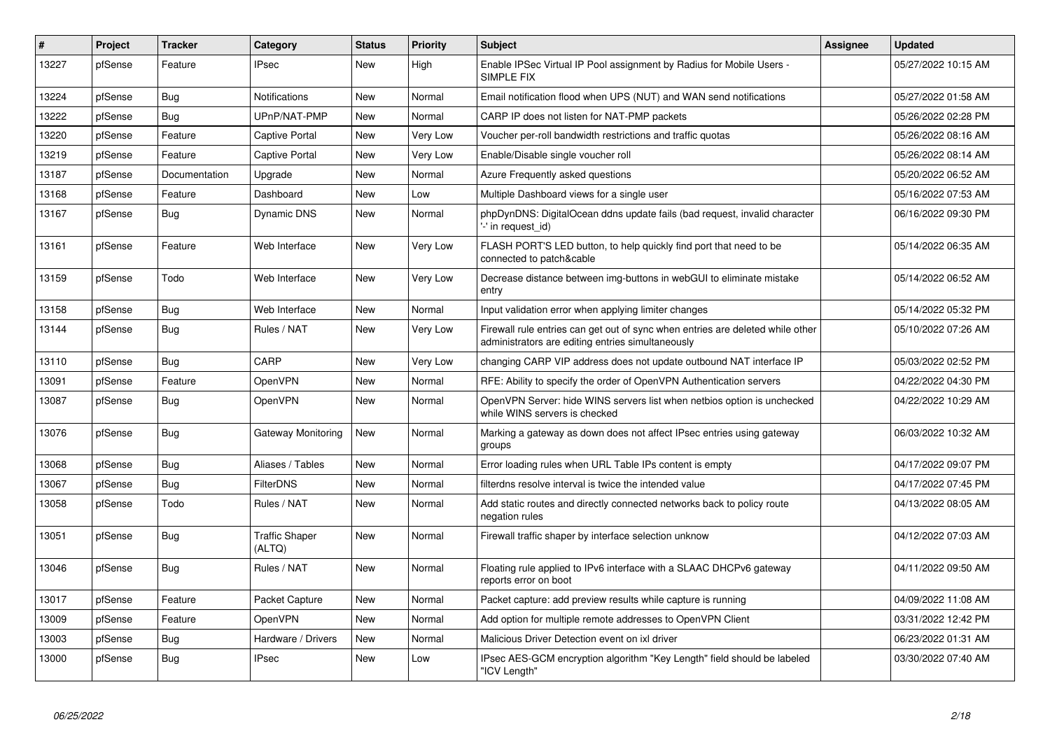| #     | Project | <b>Tracker</b> | Category                        | <b>Status</b> | <b>Priority</b> | <b>Subject</b>                                                                                                                      | <b>Assignee</b> | <b>Updated</b>      |
|-------|---------|----------------|---------------------------------|---------------|-----------------|-------------------------------------------------------------------------------------------------------------------------------------|-----------------|---------------------|
| 13227 | pfSense | Feature        | <b>IPsec</b>                    | New           | High            | Enable IPSec Virtual IP Pool assignment by Radius for Mobile Users -<br>SIMPLE FIX                                                  |                 | 05/27/2022 10:15 AM |
| 13224 | pfSense | Bug            | Notifications                   | New           | Normal          | Email notification flood when UPS (NUT) and WAN send notifications                                                                  |                 | 05/27/2022 01:58 AM |
| 13222 | pfSense | <b>Bug</b>     | UPnP/NAT-PMP                    | <b>New</b>    | Normal          | CARP IP does not listen for NAT-PMP packets                                                                                         |                 | 05/26/2022 02:28 PM |
| 13220 | pfSense | Feature        | <b>Captive Portal</b>           | <b>New</b>    | Very Low        | Voucher per-roll bandwidth restrictions and traffic quotas                                                                          |                 | 05/26/2022 08:16 AM |
| 13219 | pfSense | Feature        | Captive Portal                  | <b>New</b>    | Very Low        | Enable/Disable single voucher roll                                                                                                  |                 | 05/26/2022 08:14 AM |
| 13187 | pfSense | Documentation  | Upgrade                         | <b>New</b>    | Normal          | Azure Frequently asked questions                                                                                                    |                 | 05/20/2022 06:52 AM |
| 13168 | pfSense | Feature        | Dashboard                       | <b>New</b>    | Low             | Multiple Dashboard views for a single user                                                                                          |                 | 05/16/2022 07:53 AM |
| 13167 | pfSense | Bug            | <b>Dynamic DNS</b>              | New           | Normal          | phpDynDNS: DigitalOcean ddns update fails (bad request, invalid character<br>'-' in request id)                                     |                 | 06/16/2022 09:30 PM |
| 13161 | pfSense | Feature        | Web Interface                   | <b>New</b>    | Very Low        | FLASH PORT'S LED button, to help quickly find port that need to be<br>connected to patch&cable                                      |                 | 05/14/2022 06:35 AM |
| 13159 | pfSense | Todo           | Web Interface                   | <b>New</b>    | Very Low        | Decrease distance between img-buttons in webGUI to eliminate mistake<br>entry                                                       |                 | 05/14/2022 06:52 AM |
| 13158 | pfSense | <b>Bug</b>     | Web Interface                   | <b>New</b>    | Normal          | Input validation error when applying limiter changes                                                                                |                 | 05/14/2022 05:32 PM |
| 13144 | pfSense | Bug            | Rules / NAT                     | New           | Very Low        | Firewall rule entries can get out of sync when entries are deleted while other<br>administrators are editing entries simultaneously |                 | 05/10/2022 07:26 AM |
| 13110 | pfSense | Bug            | CARP                            | New           | Very Low        | changing CARP VIP address does not update outbound NAT interface IP                                                                 |                 | 05/03/2022 02:52 PM |
| 13091 | pfSense | Feature        | OpenVPN                         | New           | Normal          | RFE: Ability to specify the order of OpenVPN Authentication servers                                                                 |                 | 04/22/2022 04:30 PM |
| 13087 | pfSense | <b>Bug</b>     | OpenVPN                         | New           | Normal          | OpenVPN Server: hide WINS servers list when netbios option is unchecked<br>while WINS servers is checked                            |                 | 04/22/2022 10:29 AM |
| 13076 | pfSense | <b>Bug</b>     | Gateway Monitoring              | New           | Normal          | Marking a gateway as down does not affect IPsec entries using gateway<br>groups                                                     |                 | 06/03/2022 10:32 AM |
| 13068 | pfSense | <b>Bug</b>     | Aliases / Tables                | <b>New</b>    | Normal          | Error loading rules when URL Table IPs content is empty                                                                             |                 | 04/17/2022 09:07 PM |
| 13067 | pfSense | Bug            | <b>FilterDNS</b>                | <b>New</b>    | Normal          | filterdns resolve interval is twice the intended value                                                                              |                 | 04/17/2022 07:45 PM |
| 13058 | pfSense | Todo           | Rules / NAT                     | New           | Normal          | Add static routes and directly connected networks back to policy route<br>negation rules                                            |                 | 04/13/2022 08:05 AM |
| 13051 | pfSense | Bug            | <b>Traffic Shaper</b><br>(ALTQ) | <b>New</b>    | Normal          | Firewall traffic shaper by interface selection unknow                                                                               |                 | 04/12/2022 07:03 AM |
| 13046 | pfSense | Bug            | Rules / NAT                     | <b>New</b>    | Normal          | Floating rule applied to IPv6 interface with a SLAAC DHCPv6 gateway<br>reports error on boot                                        |                 | 04/11/2022 09:50 AM |
| 13017 | pfSense | Feature        | Packet Capture                  | <b>New</b>    | Normal          | Packet capture: add preview results while capture is running                                                                        |                 | 04/09/2022 11:08 AM |
| 13009 | pfSense | Feature        | OpenVPN                         | <b>New</b>    | Normal          | Add option for multiple remote addresses to OpenVPN Client                                                                          |                 | 03/31/2022 12:42 PM |
| 13003 | pfSense | <b>Bug</b>     | Hardware / Drivers              | <b>New</b>    | Normal          | Malicious Driver Detection event on ixl driver                                                                                      |                 | 06/23/2022 01:31 AM |
| 13000 | pfSense | Bug            | <b>IPsec</b>                    | <b>New</b>    | Low             | IPsec AES-GCM encryption algorithm "Key Length" field should be labeled<br>"ICV Length"                                             |                 | 03/30/2022 07:40 AM |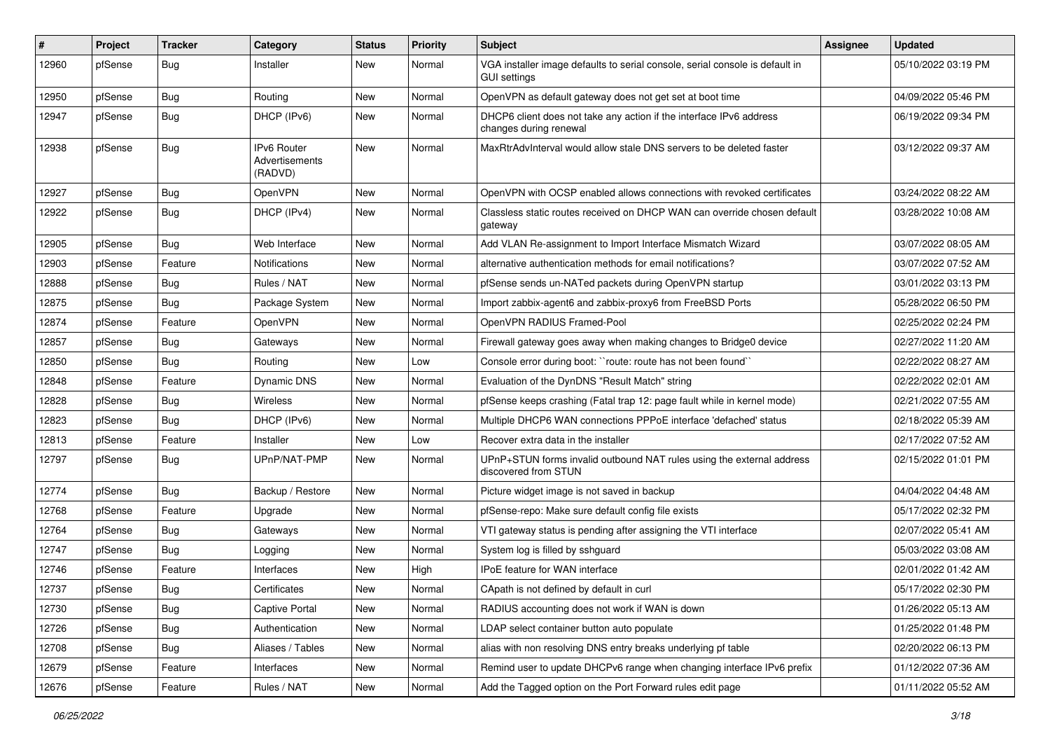| #     | Project | <b>Tracker</b> | Category                                        | <b>Status</b> | <b>Priority</b> | <b>Subject</b>                                                                                      | <b>Assignee</b> | <b>Updated</b>      |
|-------|---------|----------------|-------------------------------------------------|---------------|-----------------|-----------------------------------------------------------------------------------------------------|-----------------|---------------------|
| 12960 | pfSense | <b>Bug</b>     | Installer                                       | New           | Normal          | VGA installer image defaults to serial console, serial console is default in<br><b>GUI settings</b> |                 | 05/10/2022 03:19 PM |
| 12950 | pfSense | Bug            | Routing                                         | New           | Normal          | OpenVPN as default gateway does not get set at boot time                                            |                 | 04/09/2022 05:46 PM |
| 12947 | pfSense | <b>Bug</b>     | DHCP (IPv6)                                     | New           | Normal          | DHCP6 client does not take any action if the interface IPv6 address<br>changes during renewal       |                 | 06/19/2022 09:34 PM |
| 12938 | pfSense | Bug            | <b>IPv6 Router</b><br>Advertisements<br>(RADVD) | <b>New</b>    | Normal          | MaxRtrAdvInterval would allow stale DNS servers to be deleted faster                                |                 | 03/12/2022 09:37 AM |
| 12927 | pfSense | Bug            | OpenVPN                                         | <b>New</b>    | Normal          | OpenVPN with OCSP enabled allows connections with revoked certificates                              |                 | 03/24/2022 08:22 AM |
| 12922 | pfSense | Bug            | DHCP (IPv4)                                     | New           | Normal          | Classless static routes received on DHCP WAN can override chosen default<br>gateway                 |                 | 03/28/2022 10:08 AM |
| 12905 | pfSense | Bug            | Web Interface                                   | New           | Normal          | Add VLAN Re-assignment to Import Interface Mismatch Wizard                                          |                 | 03/07/2022 08:05 AM |
| 12903 | pfSense | Feature        | Notifications                                   | <b>New</b>    | Normal          | alternative authentication methods for email notifications?                                         |                 | 03/07/2022 07:52 AM |
| 12888 | pfSense | Bug            | Rules / NAT                                     | New           | Normal          | pfSense sends un-NATed packets during OpenVPN startup                                               |                 | 03/01/2022 03:13 PM |
| 12875 | pfSense | Bug            | Package System                                  | New           | Normal          | Import zabbix-agent6 and zabbix-proxy6 from FreeBSD Ports                                           |                 | 05/28/2022 06:50 PM |
| 12874 | pfSense | Feature        | <b>OpenVPN</b>                                  | <b>New</b>    | Normal          | OpenVPN RADIUS Framed-Pool                                                                          |                 | 02/25/2022 02:24 PM |
| 12857 | pfSense | <b>Bug</b>     | Gateways                                        | New           | Normal          | Firewall gateway goes away when making changes to Bridge0 device                                    |                 | 02/27/2022 11:20 AM |
| 12850 | pfSense | Bug            | Routing                                         | New           | Low             | Console error during boot: "route: route has not been found"                                        |                 | 02/22/2022 08:27 AM |
| 12848 | pfSense | Feature        | Dynamic DNS                                     | New           | Normal          | Evaluation of the DynDNS "Result Match" string                                                      |                 | 02/22/2022 02:01 AM |
| 12828 | pfSense | Bug            | Wireless                                        | New           | Normal          | pfSense keeps crashing (Fatal trap 12: page fault while in kernel mode)                             |                 | 02/21/2022 07:55 AM |
| 12823 | pfSense | <b>Bug</b>     | DHCP (IPv6)                                     | <b>New</b>    | Normal          | Multiple DHCP6 WAN connections PPPoE interface 'defached' status                                    |                 | 02/18/2022 05:39 AM |
| 12813 | pfSense | Feature        | Installer                                       | New           | Low             | Recover extra data in the installer                                                                 |                 | 02/17/2022 07:52 AM |
| 12797 | pfSense | Bug            | UPnP/NAT-PMP                                    | New           | Normal          | UPnP+STUN forms invalid outbound NAT rules using the external address<br>discovered from STUN       |                 | 02/15/2022 01:01 PM |
| 12774 | pfSense | Bug            | Backup / Restore                                | New           | Normal          | Picture widget image is not saved in backup                                                         |                 | 04/04/2022 04:48 AM |
| 12768 | pfSense | Feature        | Upgrade                                         | <b>New</b>    | Normal          | pfSense-repo: Make sure default config file exists                                                  |                 | 05/17/2022 02:32 PM |
| 12764 | pfSense | Bug            | Gateways                                        | New           | Normal          | VTI gateway status is pending after assigning the VTI interface                                     |                 | 02/07/2022 05:41 AM |
| 12747 | pfSense | Bug            | Logging                                         | New           | Normal          | System log is filled by sshguard                                                                    |                 | 05/03/2022 03:08 AM |
| 12746 | pfSense | Feature        | Interfaces                                      | New           | High            | IPoE feature for WAN interface                                                                      |                 | 02/01/2022 01:42 AM |
| 12737 | pfSense | <b>Bug</b>     | Certificates                                    | New           | Normal          | CApath is not defined by default in curl                                                            |                 | 05/17/2022 02:30 PM |
| 12730 | pfSense | Bug            | Captive Portal                                  | New           | Normal          | RADIUS accounting does not work if WAN is down                                                      |                 | 01/26/2022 05:13 AM |
| 12726 | pfSense | <b>Bug</b>     | Authentication                                  | New           | Normal          | LDAP select container button auto populate                                                          |                 | 01/25/2022 01:48 PM |
| 12708 | pfSense | Bug            | Aliases / Tables                                | New           | Normal          | alias with non resolving DNS entry breaks underlying pf table                                       |                 | 02/20/2022 06:13 PM |
| 12679 | pfSense | Feature        | Interfaces                                      | New           | Normal          | Remind user to update DHCPv6 range when changing interface IPv6 prefix                              |                 | 01/12/2022 07:36 AM |
| 12676 | pfSense | Feature        | Rules / NAT                                     | New           | Normal          | Add the Tagged option on the Port Forward rules edit page                                           |                 | 01/11/2022 05:52 AM |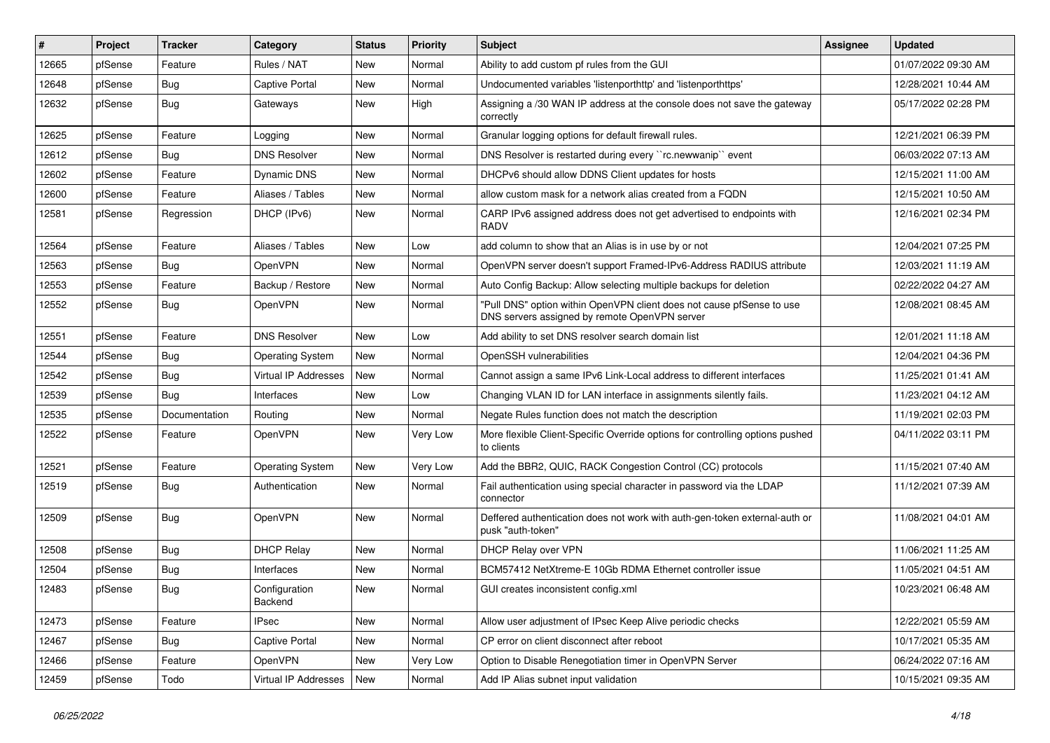| #     | Project | <b>Tracker</b> | Category                 | <b>Status</b> | <b>Priority</b> | Subject                                                                                                                | <b>Assignee</b> | <b>Updated</b>      |
|-------|---------|----------------|--------------------------|---------------|-----------------|------------------------------------------------------------------------------------------------------------------------|-----------------|---------------------|
| 12665 | pfSense | Feature        | Rules / NAT              | New           | Normal          | Ability to add custom pf rules from the GUI                                                                            |                 | 01/07/2022 09:30 AM |
| 12648 | pfSense | <b>Bug</b>     | Captive Portal           | New           | Normal          | Undocumented variables 'listenporthttp' and 'listenporthttps'                                                          |                 | 12/28/2021 10:44 AM |
| 12632 | pfSense | Bug            | Gateways                 | New           | High            | Assigning a /30 WAN IP address at the console does not save the gateway<br>correctly                                   |                 | 05/17/2022 02:28 PM |
| 12625 | pfSense | Feature        | Logging                  | New           | Normal          | Granular logging options for default firewall rules.                                                                   |                 | 12/21/2021 06:39 PM |
| 12612 | pfSense | Bug            | <b>DNS Resolver</b>      | New           | Normal          | DNS Resolver is restarted during every "rc.newwanip" event                                                             |                 | 06/03/2022 07:13 AM |
| 12602 | pfSense | Feature        | Dynamic DNS              | New           | Normal          | DHCPv6 should allow DDNS Client updates for hosts                                                                      |                 | 12/15/2021 11:00 AM |
| 12600 | pfSense | Feature        | Aliases / Tables         | <b>New</b>    | Normal          | allow custom mask for a network alias created from a FQDN                                                              |                 | 12/15/2021 10:50 AM |
| 12581 | pfSense | Regression     | DHCP (IPv6)              | New           | Normal          | CARP IPv6 assigned address does not get advertised to endpoints with<br><b>RADV</b>                                    |                 | 12/16/2021 02:34 PM |
| 12564 | pfSense | Feature        | Aliases / Tables         | New           | Low             | add column to show that an Alias is in use by or not                                                                   |                 | 12/04/2021 07:25 PM |
| 12563 | pfSense | <b>Bug</b>     | OpenVPN                  | New           | Normal          | OpenVPN server doesn't support Framed-IPv6-Address RADIUS attribute                                                    |                 | 12/03/2021 11:19 AM |
| 12553 | pfSense | Feature        | Backup / Restore         | New           | Normal          | Auto Config Backup: Allow selecting multiple backups for deletion                                                      |                 | 02/22/2022 04:27 AM |
| 12552 | pfSense | Bug            | OpenVPN                  | New           | Normal          | "Pull DNS" option within OpenVPN client does not cause pfSense to use<br>DNS servers assigned by remote OpenVPN server |                 | 12/08/2021 08:45 AM |
| 12551 | pfSense | Feature        | <b>DNS Resolver</b>      | <b>New</b>    | Low             | Add ability to set DNS resolver search domain list                                                                     |                 | 12/01/2021 11:18 AM |
| 12544 | pfSense | <b>Bug</b>     | <b>Operating System</b>  | New           | Normal          | OpenSSH vulnerabilities                                                                                                |                 | 12/04/2021 04:36 PM |
| 12542 | pfSense | <b>Bug</b>     | Virtual IP Addresses     | New           | Normal          | Cannot assign a same IPv6 Link-Local address to different interfaces                                                   |                 | 11/25/2021 01:41 AM |
| 12539 | pfSense | <b>Bug</b>     | Interfaces               | New           | Low             | Changing VLAN ID for LAN interface in assignments silently fails.                                                      |                 | 11/23/2021 04:12 AM |
| 12535 | pfSense | Documentation  | Routing                  | New           | Normal          | Negate Rules function does not match the description                                                                   |                 | 11/19/2021 02:03 PM |
| 12522 | pfSense | Feature        | OpenVPN                  | New           | Very Low        | More flexible Client-Specific Override options for controlling options pushed<br>to clients                            |                 | 04/11/2022 03:11 PM |
| 12521 | pfSense | Feature        | <b>Operating System</b>  | <b>New</b>    | Very Low        | Add the BBR2, QUIC, RACK Congestion Control (CC) protocols                                                             |                 | 11/15/2021 07:40 AM |
| 12519 | pfSense | <b>Bug</b>     | Authentication           | New           | Normal          | Fail authentication using special character in password via the LDAP<br>connector                                      |                 | 11/12/2021 07:39 AM |
| 12509 | pfSense | <b>Bug</b>     | OpenVPN                  | New           | Normal          | Deffered authentication does not work with auth-gen-token external-auth or<br>pusk "auth-token"                        |                 | 11/08/2021 04:01 AM |
| 12508 | pfSense | Bug            | <b>DHCP Relay</b>        | New           | Normal          | DHCP Relay over VPN                                                                                                    |                 | 11/06/2021 11:25 AM |
| 12504 | pfSense | <b>Bug</b>     | Interfaces               | New           | Normal          | BCM57412 NetXtreme-E 10Gb RDMA Ethernet controller issue                                                               |                 | 11/05/2021 04:51 AM |
| 12483 | pfSense | Bug            | Configuration<br>Backend | New           | Normal          | GUI creates inconsistent config.xml                                                                                    |                 | 10/23/2021 06:48 AM |
| 12473 | pfSense | Feature        | <b>IPsec</b>             | New           | Normal          | Allow user adjustment of IPsec Keep Alive periodic checks                                                              |                 | 12/22/2021 05:59 AM |
| 12467 | pfSense | <b>Bug</b>     | Captive Portal           | New           | Normal          | CP error on client disconnect after reboot                                                                             |                 | 10/17/2021 05:35 AM |
| 12466 | pfSense | Feature        | OpenVPN                  | New           | Very Low        | Option to Disable Renegotiation timer in OpenVPN Server                                                                |                 | 06/24/2022 07:16 AM |
| 12459 | pfSense | Todo           | Virtual IP Addresses     | New           | Normal          | Add IP Alias subnet input validation                                                                                   |                 | 10/15/2021 09:35 AM |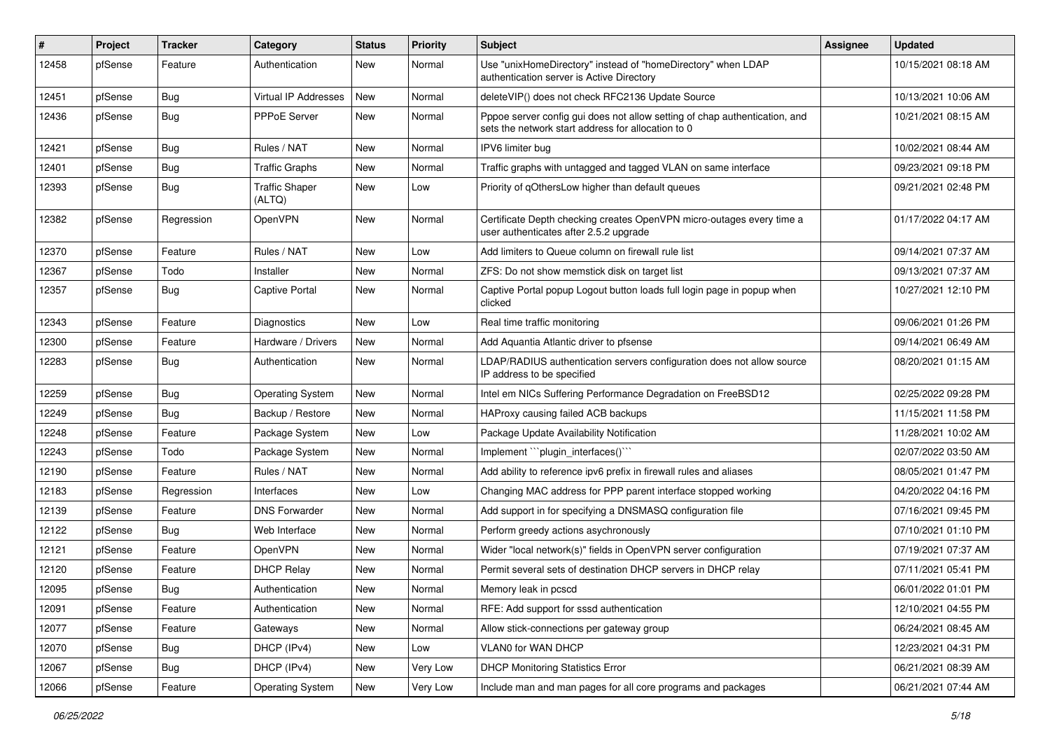| #     | Project | <b>Tracker</b> | Category                        | <b>Status</b> | <b>Priority</b> | Subject                                                                                                                          | <b>Assignee</b> | <b>Updated</b>      |
|-------|---------|----------------|---------------------------------|---------------|-----------------|----------------------------------------------------------------------------------------------------------------------------------|-----------------|---------------------|
| 12458 | pfSense | Feature        | Authentication                  | New           | Normal          | Use "unixHomeDirectory" instead of "homeDirectory" when LDAP<br>authentication server is Active Directory                        |                 | 10/15/2021 08:18 AM |
| 12451 | pfSense | Bug            | <b>Virtual IP Addresses</b>     | New           | Normal          | deleteVIP() does not check RFC2136 Update Source                                                                                 |                 | 10/13/2021 10:06 AM |
| 12436 | pfSense | Bug            | PPPoE Server                    | New           | Normal          | Pppoe server config gui does not allow setting of chap authentication, and<br>sets the network start address for allocation to 0 |                 | 10/21/2021 08:15 AM |
| 12421 | pfSense | Bug            | Rules / NAT                     | New           | Normal          | IPV6 limiter bug                                                                                                                 |                 | 10/02/2021 08:44 AM |
| 12401 | pfSense | <b>Bug</b>     | <b>Traffic Graphs</b>           | New           | Normal          | Traffic graphs with untagged and tagged VLAN on same interface                                                                   |                 | 09/23/2021 09:18 PM |
| 12393 | pfSense | Bug            | <b>Traffic Shaper</b><br>(ALTQ) | New           | Low             | Priority of qOthersLow higher than default queues                                                                                |                 | 09/21/2021 02:48 PM |
| 12382 | pfSense | Regression     | OpenVPN                         | New           | Normal          | Certificate Depth checking creates OpenVPN micro-outages every time a<br>user authenticates after 2.5.2 upgrade                  |                 | 01/17/2022 04:17 AM |
| 12370 | pfSense | Feature        | Rules / NAT                     | New           | Low             | Add limiters to Queue column on firewall rule list                                                                               |                 | 09/14/2021 07:37 AM |
| 12367 | pfSense | Todo           | Installer                       | New           | Normal          | ZFS: Do not show memstick disk on target list                                                                                    |                 | 09/13/2021 07:37 AM |
| 12357 | pfSense | Bug            | Captive Portal                  | New           | Normal          | Captive Portal popup Logout button loads full login page in popup when<br>clicked                                                |                 | 10/27/2021 12:10 PM |
| 12343 | pfSense | Feature        | <b>Diagnostics</b>              | <b>New</b>    | Low             | Real time traffic monitoring                                                                                                     |                 | 09/06/2021 01:26 PM |
| 12300 | pfSense | Feature        | Hardware / Drivers              | New           | Normal          | Add Aquantia Atlantic driver to pfsense                                                                                          |                 | 09/14/2021 06:49 AM |
| 12283 | pfSense | Bug            | Authentication                  | New           | Normal          | LDAP/RADIUS authentication servers configuration does not allow source<br>IP address to be specified                             |                 | 08/20/2021 01:15 AM |
| 12259 | pfSense | Bug            | <b>Operating System</b>         | <b>New</b>    | Normal          | Intel em NICs Suffering Performance Degradation on FreeBSD12                                                                     |                 | 02/25/2022 09:28 PM |
| 12249 | pfSense | Bug            | Backup / Restore                | <b>New</b>    | Normal          | HAProxy causing failed ACB backups                                                                                               |                 | 11/15/2021 11:58 PM |
| 12248 | pfSense | Feature        | Package System                  | <b>New</b>    | Low             | Package Update Availability Notification                                                                                         |                 | 11/28/2021 10:02 AM |
| 12243 | pfSense | Todo           | Package System                  | <b>New</b>    | Normal          | Implement "``plugin_interfaces()``                                                                                               |                 | 02/07/2022 03:50 AM |
| 12190 | pfSense | Feature        | Rules / NAT                     | <b>New</b>    | Normal          | Add ability to reference ipv6 prefix in firewall rules and aliases                                                               |                 | 08/05/2021 01:47 PM |
| 12183 | pfSense | Regression     | Interfaces                      | New           | Low             | Changing MAC address for PPP parent interface stopped working                                                                    |                 | 04/20/2022 04:16 PM |
| 12139 | pfSense | Feature        | <b>DNS Forwarder</b>            | New           | Normal          | Add support in for specifying a DNSMASQ configuration file                                                                       |                 | 07/16/2021 09:45 PM |
| 12122 | pfSense | Bug            | Web Interface                   | New           | Normal          | Perform greedy actions asychronously                                                                                             |                 | 07/10/2021 01:10 PM |
| 12121 | pfSense | Feature        | OpenVPN                         | New           | Normal          | Wider "local network(s)" fields in OpenVPN server configuration                                                                  |                 | 07/19/2021 07:37 AM |
| 12120 | pfSense | Feature        | <b>DHCP Relay</b>               | New           | Normal          | Permit several sets of destination DHCP servers in DHCP relay                                                                    |                 | 07/11/2021 05:41 PM |
| 12095 | pfSense | Bug            | Authentication                  | New           | Normal          | Memory leak in pcscd                                                                                                             |                 | 06/01/2022 01:01 PM |
| 12091 | pfSense | Feature        | Authentication                  | New           | Normal          | RFE: Add support for sssd authentication                                                                                         |                 | 12/10/2021 04:55 PM |
| 12077 | pfSense | Feature        | Gateways                        | New           | Normal          | Allow stick-connections per gateway group                                                                                        |                 | 06/24/2021 08:45 AM |
| 12070 | pfSense | <b>Bug</b>     | DHCP (IPv4)                     | New           | Low             | VLAN0 for WAN DHCP                                                                                                               |                 | 12/23/2021 04:31 PM |
| 12067 | pfSense | Bug            | DHCP (IPv4)                     | New           | Very Low        | <b>DHCP Monitoring Statistics Error</b>                                                                                          |                 | 06/21/2021 08:39 AM |
| 12066 | pfSense | Feature        | <b>Operating System</b>         | New           | Very Low        | Include man and man pages for all core programs and packages                                                                     |                 | 06/21/2021 07:44 AM |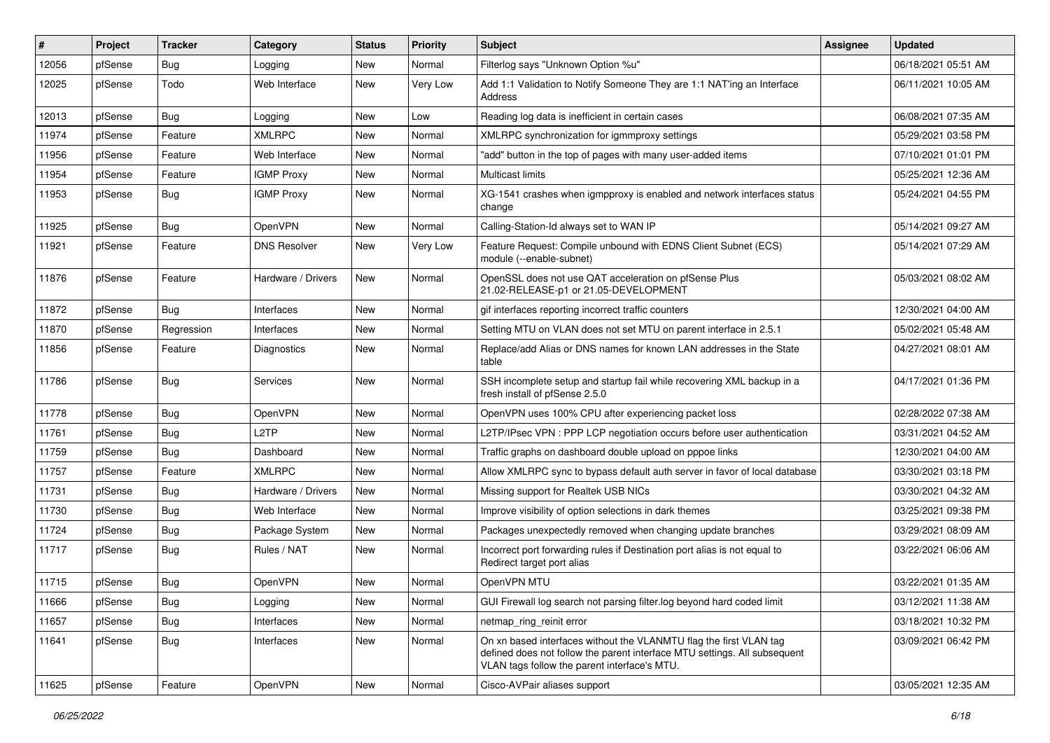| #     | Project | <b>Tracker</b> | Category            | <b>Status</b> | <b>Priority</b> | Subject                                                                                                                                                                                         | <b>Assignee</b> | <b>Updated</b>      |
|-------|---------|----------------|---------------------|---------------|-----------------|-------------------------------------------------------------------------------------------------------------------------------------------------------------------------------------------------|-----------------|---------------------|
| 12056 | pfSense | Bug            | Logging             | New           | Normal          | Filterlog says "Unknown Option %u"                                                                                                                                                              |                 | 06/18/2021 05:51 AM |
| 12025 | pfSense | Todo           | Web Interface       | New           | Very Low        | Add 1:1 Validation to Notify Someone They are 1:1 NAT'ing an Interface<br>Address                                                                                                               |                 | 06/11/2021 10:05 AM |
| 12013 | pfSense | Bug            | Logging             | New           | Low             | Reading log data is inefficient in certain cases                                                                                                                                                |                 | 06/08/2021 07:35 AM |
| 11974 | pfSense | Feature        | <b>XMLRPC</b>       | New           | Normal          | XMLRPC synchronization for igmmproxy settings                                                                                                                                                   |                 | 05/29/2021 03:58 PM |
| 11956 | pfSense | Feature        | Web Interface       | New           | Normal          | "add" button in the top of pages with many user-added items                                                                                                                                     |                 | 07/10/2021 01:01 PM |
| 11954 | pfSense | Feature        | <b>IGMP Proxy</b>   | New           | Normal          | <b>Multicast limits</b>                                                                                                                                                                         |                 | 05/25/2021 12:36 AM |
| 11953 | pfSense | Bug            | <b>IGMP Proxy</b>   | New           | Normal          | XG-1541 crashes when igmpproxy is enabled and network interfaces status<br>change                                                                                                               |                 | 05/24/2021 04:55 PM |
| 11925 | pfSense | Bug            | <b>OpenVPN</b>      | <b>New</b>    | Normal          | Calling-Station-Id always set to WAN IP                                                                                                                                                         |                 | 05/14/2021 09:27 AM |
| 11921 | pfSense | Feature        | <b>DNS Resolver</b> | New           | Very Low        | Feature Request: Compile unbound with EDNS Client Subnet (ECS)<br>module (--enable-subnet)                                                                                                      |                 | 05/14/2021 07:29 AM |
| 11876 | pfSense | Feature        | Hardware / Drivers  | New           | Normal          | OpenSSL does not use QAT acceleration on pfSense Plus<br>21.02-RELEASE-p1 or 21.05-DEVELOPMENT                                                                                                  |                 | 05/03/2021 08:02 AM |
| 11872 | pfSense | Bug            | Interfaces          | New           | Normal          | gif interfaces reporting incorrect traffic counters                                                                                                                                             |                 | 12/30/2021 04:00 AM |
| 11870 | pfSense | Regression     | Interfaces          | New           | Normal          | Setting MTU on VLAN does not set MTU on parent interface in 2.5.1                                                                                                                               |                 | 05/02/2021 05:48 AM |
| 11856 | pfSense | Feature        | Diagnostics         | New           | Normal          | Replace/add Alias or DNS names for known LAN addresses in the State<br>table                                                                                                                    |                 | 04/27/2021 08:01 AM |
| 11786 | pfSense | Bug            | <b>Services</b>     | New           | Normal          | SSH incomplete setup and startup fail while recovering XML backup in a<br>fresh install of pfSense 2.5.0                                                                                        |                 | 04/17/2021 01:36 PM |
| 11778 | pfSense | Bug            | OpenVPN             | <b>New</b>    | Normal          | OpenVPN uses 100% CPU after experiencing packet loss                                                                                                                                            |                 | 02/28/2022 07:38 AM |
| 11761 | pfSense | Bug            | L2TP                | New           | Normal          | L2TP/IPsec VPN : PPP LCP negotiation occurs before user authentication                                                                                                                          |                 | 03/31/2021 04:52 AM |
| 11759 | pfSense | <b>Bug</b>     | Dashboard           | New           | Normal          | Traffic graphs on dashboard double upload on pppoe links                                                                                                                                        |                 | 12/30/2021 04:00 AM |
| 11757 | pfSense | Feature        | <b>XMLRPC</b>       | <b>New</b>    | Normal          | Allow XMLRPC sync to bypass default auth server in favor of local database                                                                                                                      |                 | 03/30/2021 03:18 PM |
| 11731 | pfSense | Bug            | Hardware / Drivers  | New           | Normal          | Missing support for Realtek USB NICs                                                                                                                                                            |                 | 03/30/2021 04:32 AM |
| 11730 | pfSense | Bug            | Web Interface       | New           | Normal          | Improve visibility of option selections in dark themes                                                                                                                                          |                 | 03/25/2021 09:38 PM |
| 11724 | pfSense | Bug            | Package System      | New           | Normal          | Packages unexpectedly removed when changing update branches                                                                                                                                     |                 | 03/29/2021 08:09 AM |
| 11717 | pfSense | <b>Bug</b>     | Rules / NAT         | New           | Normal          | Incorrect port forwarding rules if Destination port alias is not equal to<br>Redirect target port alias                                                                                         |                 | 03/22/2021 06:06 AM |
| 11715 | pfSense | Bug            | OpenVPN             | New           | Normal          | OpenVPN MTU                                                                                                                                                                                     |                 | 03/22/2021 01:35 AM |
| 11666 | pfSense | <b>Bug</b>     | Logging             | New           | Normal          | GUI Firewall log search not parsing filter.log beyond hard coded limit                                                                                                                          |                 | 03/12/2021 11:38 AM |
| 11657 | pfSense | Bug            | Interfaces          | New           | Normal          | netmap_ring_reinit error                                                                                                                                                                        |                 | 03/18/2021 10:32 PM |
| 11641 | pfSense | <b>Bug</b>     | Interfaces          | New           | Normal          | On xn based interfaces without the VLANMTU flag the first VLAN tag<br>defined does not follow the parent interface MTU settings. All subsequent<br>VLAN tags follow the parent interface's MTU. |                 | 03/09/2021 06:42 PM |
| 11625 | pfSense | Feature        | <b>OpenVPN</b>      | New           | Normal          | Cisco-AVPair aliases support                                                                                                                                                                    |                 | 03/05/2021 12:35 AM |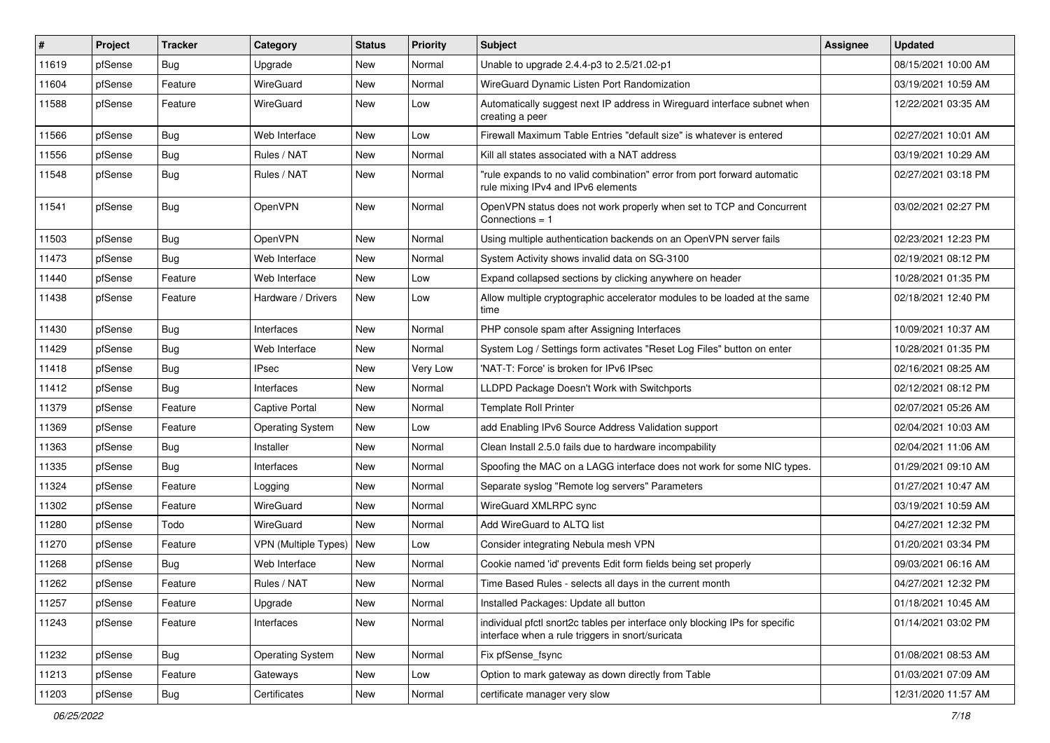| $\#$  | Project | <b>Tracker</b> | Category                | <b>Status</b> | <b>Priority</b> | <b>Subject</b>                                                                                                                   | <b>Assignee</b> | <b>Updated</b>      |
|-------|---------|----------------|-------------------------|---------------|-----------------|----------------------------------------------------------------------------------------------------------------------------------|-----------------|---------------------|
| 11619 | pfSense | Bug            | Upgrade                 | New           | Normal          | Unable to upgrade 2.4.4-p3 to 2.5/21.02-p1                                                                                       |                 | 08/15/2021 10:00 AM |
| 11604 | pfSense | Feature        | WireGuard               | New           | Normal          | WireGuard Dynamic Listen Port Randomization                                                                                      |                 | 03/19/2021 10:59 AM |
| 11588 | pfSense | Feature        | WireGuard               | New           | Low             | Automatically suggest next IP address in Wireguard interface subnet when<br>creating a peer                                      |                 | 12/22/2021 03:35 AM |
| 11566 | pfSense | Bug            | Web Interface           | <b>New</b>    | Low             | Firewall Maximum Table Entries "default size" is whatever is entered                                                             |                 | 02/27/2021 10:01 AM |
| 11556 | pfSense | <b>Bug</b>     | Rules / NAT             | New           | Normal          | Kill all states associated with a NAT address                                                                                    |                 | 03/19/2021 10:29 AM |
| 11548 | pfSense | Bug            | Rules / NAT             | New           | Normal          | "rule expands to no valid combination" error from port forward automatic<br>rule mixing IPv4 and IPv6 elements                   |                 | 02/27/2021 03:18 PM |
| 11541 | pfSense | Bug            | OpenVPN                 | <b>New</b>    | Normal          | OpenVPN status does not work properly when set to TCP and Concurrent<br>Connections $= 1$                                        |                 | 03/02/2021 02:27 PM |
| 11503 | pfSense | Bug            | OpenVPN                 | <b>New</b>    | Normal          | Using multiple authentication backends on an OpenVPN server fails                                                                |                 | 02/23/2021 12:23 PM |
| 11473 | pfSense | <b>Bug</b>     | Web Interface           | New           | Normal          | System Activity shows invalid data on SG-3100                                                                                    |                 | 02/19/2021 08:12 PM |
| 11440 | pfSense | Feature        | Web Interface           | <b>New</b>    | Low             | Expand collapsed sections by clicking anywhere on header                                                                         |                 | 10/28/2021 01:35 PM |
| 11438 | pfSense | Feature        | Hardware / Drivers      | New           | Low             | Allow multiple cryptographic accelerator modules to be loaded at the same<br>time                                                |                 | 02/18/2021 12:40 PM |
| 11430 | pfSense | <b>Bug</b>     | Interfaces              | <b>New</b>    | Normal          | PHP console spam after Assigning Interfaces                                                                                      |                 | 10/09/2021 10:37 AM |
| 11429 | pfSense | Bug            | Web Interface           | New           | Normal          | System Log / Settings form activates "Reset Log Files" button on enter                                                           |                 | 10/28/2021 01:35 PM |
| 11418 | pfSense | Bug            | <b>IPsec</b>            | New           | <b>Very Low</b> | 'NAT-T: Force' is broken for IPv6 IPsec                                                                                          |                 | 02/16/2021 08:25 AM |
| 11412 | pfSense | Bug            | Interfaces              | New           | Normal          | LLDPD Package Doesn't Work with Switchports                                                                                      |                 | 02/12/2021 08:12 PM |
| 11379 | pfSense | Feature        | Captive Portal          | <b>New</b>    | Normal          | Template Roll Printer                                                                                                            |                 | 02/07/2021 05:26 AM |
| 11369 | pfSense | Feature        | <b>Operating System</b> | <b>New</b>    | Low             | add Enabling IPv6 Source Address Validation support                                                                              |                 | 02/04/2021 10:03 AM |
| 11363 | pfSense | <b>Bug</b>     | Installer               | New           | Normal          | Clean Install 2.5.0 fails due to hardware incompability                                                                          |                 | 02/04/2021 11:06 AM |
| 11335 | pfSense | Bug            | Interfaces              | <b>New</b>    | Normal          | Spoofing the MAC on a LAGG interface does not work for some NIC types.                                                           |                 | 01/29/2021 09:10 AM |
| 11324 | pfSense | Feature        | Logging                 | New           | Normal          | Separate syslog "Remote log servers" Parameters                                                                                  |                 | 01/27/2021 10:47 AM |
| 11302 | pfSense | Feature        | WireGuard               | New           | Normal          | WireGuard XMLRPC sync                                                                                                            |                 | 03/19/2021 10:59 AM |
| 11280 | pfSense | Todo           | WireGuard               | <b>New</b>    | Normal          | Add WireGuard to ALTQ list                                                                                                       |                 | 04/27/2021 12:32 PM |
| 11270 | pfSense | Feature        | VPN (Multiple Types)    | New           | Low             | Consider integrating Nebula mesh VPN                                                                                             |                 | 01/20/2021 03:34 PM |
| 11268 | pfSense | <b>Bug</b>     | Web Interface           | New           | Normal          | Cookie named 'id' prevents Edit form fields being set properly                                                                   |                 | 09/03/2021 06:16 AM |
| 11262 | pfSense | Feature        | Rules / NAT             | New           | Normal          | Time Based Rules - selects all days in the current month                                                                         |                 | 04/27/2021 12:32 PM |
| 11257 | pfSense | Feature        | Upgrade                 | New           | Normal          | Installed Packages: Update all button                                                                                            |                 | 01/18/2021 10:45 AM |
| 11243 | pfSense | Feature        | Interfaces              | New           | Normal          | individual pfctl snort2c tables per interface only blocking IPs for specific<br>interface when a rule triggers in snort/suricata |                 | 01/14/2021 03:02 PM |
| 11232 | pfSense | Bug            | <b>Operating System</b> | New           | Normal          | Fix pfSense_fsync                                                                                                                |                 | 01/08/2021 08:53 AM |
| 11213 | pfSense | Feature        | Gateways                | New           | Low             | Option to mark gateway as down directly from Table                                                                               |                 | 01/03/2021 07:09 AM |
| 11203 | pfSense | Bug            | Certificates            | New           | Normal          | certificate manager very slow                                                                                                    |                 | 12/31/2020 11:57 AM |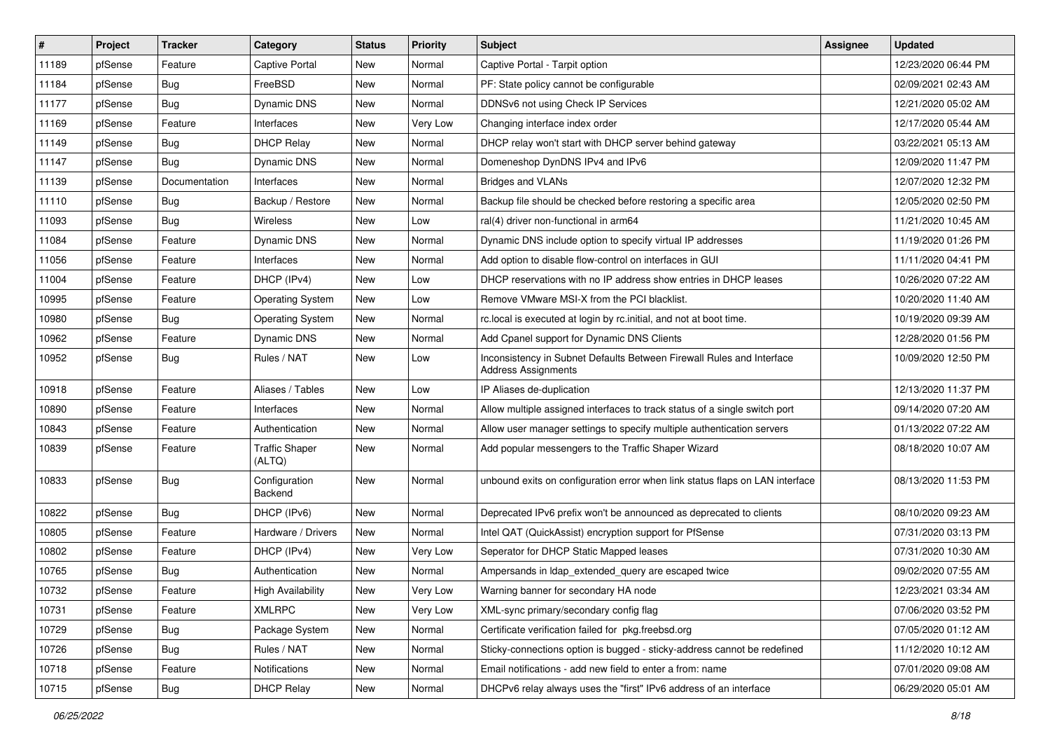| ∦     | Project | <b>Tracker</b> | Category                        | <b>Status</b> | <b>Priority</b> | Subject                                                                                      | Assignee | <b>Updated</b>      |
|-------|---------|----------------|---------------------------------|---------------|-----------------|----------------------------------------------------------------------------------------------|----------|---------------------|
| 11189 | pfSense | Feature        | Captive Portal                  | <b>New</b>    | Normal          | Captive Portal - Tarpit option                                                               |          | 12/23/2020 06:44 PM |
| 11184 | pfSense | Bug            | FreeBSD                         | New           | Normal          | PF: State policy cannot be configurable                                                      |          | 02/09/2021 02:43 AM |
| 11177 | pfSense | Bug            | Dynamic DNS                     | New           | Normal          | DDNSv6 not using Check IP Services                                                           |          | 12/21/2020 05:02 AM |
| 11169 | pfSense | Feature        | Interfaces                      | New           | Very Low        | Changing interface index order                                                               |          | 12/17/2020 05:44 AM |
| 11149 | pfSense | Bug            | <b>DHCP Relay</b>               | New           | Normal          | DHCP relay won't start with DHCP server behind gateway                                       |          | 03/22/2021 05:13 AM |
| 11147 | pfSense | Bug            | Dynamic DNS                     | New           | Normal          | Domeneshop DynDNS IPv4 and IPv6                                                              |          | 12/09/2020 11:47 PM |
| 11139 | pfSense | Documentation  | Interfaces                      | New           | Normal          | <b>Bridges and VLANs</b>                                                                     |          | 12/07/2020 12:32 PM |
| 11110 | pfSense | Bug            | Backup / Restore                | New           | Normal          | Backup file should be checked before restoring a specific area                               |          | 12/05/2020 02:50 PM |
| 11093 | pfSense | Bug            | Wireless                        | New           | Low             | ral(4) driver non-functional in arm64                                                        |          | 11/21/2020 10:45 AM |
| 11084 | pfSense | Feature        | Dynamic DNS                     | <b>New</b>    | Normal          | Dynamic DNS include option to specify virtual IP addresses                                   |          | 11/19/2020 01:26 PM |
| 11056 | pfSense | Feature        | Interfaces                      | New           | Normal          | Add option to disable flow-control on interfaces in GUI                                      |          | 11/11/2020 04:41 PM |
| 11004 | pfSense | Feature        | DHCP (IPv4)                     | <b>New</b>    | Low             | DHCP reservations with no IP address show entries in DHCP leases                             |          | 10/26/2020 07:22 AM |
| 10995 | pfSense | Feature        | <b>Operating System</b>         | New           | Low             | Remove VMware MSI-X from the PCI blacklist.                                                  |          | 10/20/2020 11:40 AM |
| 10980 | pfSense | Bug            | <b>Operating System</b>         | New           | Normal          | rc.local is executed at login by rc.initial, and not at boot time.                           |          | 10/19/2020 09:39 AM |
| 10962 | pfSense | Feature        | Dynamic DNS                     | New           | Normal          | Add Cpanel support for Dynamic DNS Clients                                                   |          | 12/28/2020 01:56 PM |
| 10952 | pfSense | Bug            | Rules / NAT                     | New           | Low             | Inconsistency in Subnet Defaults Between Firewall Rules and Interface<br>Address Assignments |          | 10/09/2020 12:50 PM |
| 10918 | pfSense | Feature        | Aliases / Tables                | New           | Low             | IP Aliases de-duplication                                                                    |          | 12/13/2020 11:37 PM |
| 10890 | pfSense | Feature        | Interfaces                      | New           | Normal          | Allow multiple assigned interfaces to track status of a single switch port                   |          | 09/14/2020 07:20 AM |
| 10843 | pfSense | Feature        | Authentication                  | New           | Normal          | Allow user manager settings to specify multiple authentication servers                       |          | 01/13/2022 07:22 AM |
| 10839 | pfSense | Feature        | <b>Traffic Shaper</b><br>(ALTQ) | New           | Normal          | Add popular messengers to the Traffic Shaper Wizard                                          |          | 08/18/2020 10:07 AM |
| 10833 | pfSense | Bug            | Configuration<br>Backend        | New           | Normal          | unbound exits on configuration error when link status flaps on LAN interface                 |          | 08/13/2020 11:53 PM |
| 10822 | pfSense | Bug            | DHCP (IPv6)                     | New           | Normal          | Deprecated IPv6 prefix won't be announced as deprecated to clients                           |          | 08/10/2020 09:23 AM |
| 10805 | pfSense | Feature        | Hardware / Drivers              | New           | Normal          | Intel QAT (QuickAssist) encryption support for PfSense                                       |          | 07/31/2020 03:13 PM |
| 10802 | pfSense | Feature        | DHCP (IPv4)                     | New           | Very Low        | Seperator for DHCP Static Mapped leases                                                      |          | 07/31/2020 10:30 AM |
| 10765 | pfSense | <b>Bug</b>     | Authentication                  | New           | Normal          | Ampersands in Idap extended query are escaped twice                                          |          | 09/02/2020 07:55 AM |
| 10732 | pfSense | Feature        | High Availability               | New           | Very Low        | Warning banner for secondary HA node                                                         |          | 12/23/2021 03:34 AM |
| 10731 | pfSense | Feature        | XMLRPC                          | New           | Very Low        | XML-sync primary/secondary config flag                                                       |          | 07/06/2020 03:52 PM |
| 10729 | pfSense | <b>Bug</b>     | Package System                  | New           | Normal          | Certificate verification failed for pkg.freebsd.org                                          |          | 07/05/2020 01:12 AM |
| 10726 | pfSense | <b>Bug</b>     | Rules / NAT                     | New           | Normal          | Sticky-connections option is bugged - sticky-address cannot be redefined                     |          | 11/12/2020 10:12 AM |
| 10718 | pfSense | Feature        | Notifications                   | New           | Normal          | Email notifications - add new field to enter a from: name                                    |          | 07/01/2020 09:08 AM |
| 10715 | pfSense | Bug            | <b>DHCP Relay</b>               | New           | Normal          | DHCPv6 relay always uses the "first" IPv6 address of an interface                            |          | 06/29/2020 05:01 AM |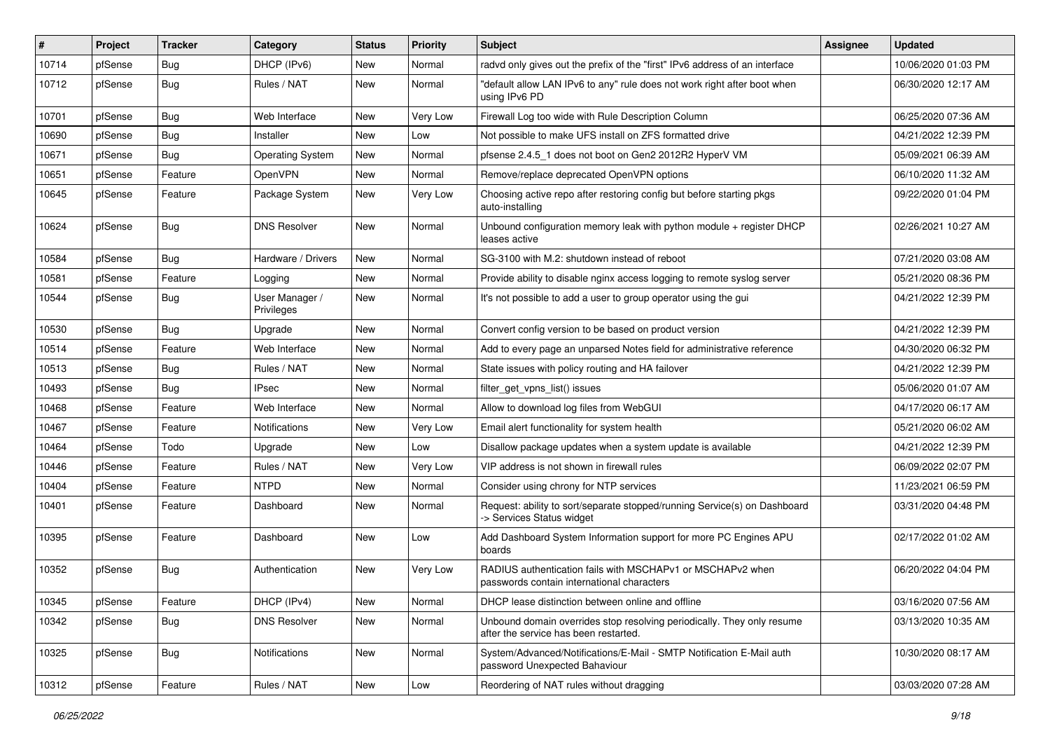| #     | Project | <b>Tracker</b> | Category                     | <b>Status</b> | <b>Priority</b> | Subject                                                                                                         | <b>Assignee</b> | <b>Updated</b>      |
|-------|---------|----------------|------------------------------|---------------|-----------------|-----------------------------------------------------------------------------------------------------------------|-----------------|---------------------|
| 10714 | pfSense | <b>Bug</b>     | DHCP (IPv6)                  | New           | Normal          | radvd only gives out the prefix of the "first" IPv6 address of an interface                                     |                 | 10/06/2020 01:03 PM |
| 10712 | pfSense | Bug            | Rules / NAT                  | New           | Normal          | "default allow LAN IPv6 to any" rule does not work right after boot when<br>using IPv6 PD                       |                 | 06/30/2020 12:17 AM |
| 10701 | pfSense | Bug            | Web Interface                | New           | Very Low        | Firewall Log too wide with Rule Description Column                                                              |                 | 06/25/2020 07:36 AM |
| 10690 | pfSense | <b>Bug</b>     | Installer                    | <b>New</b>    | Low             | Not possible to make UFS install on ZFS formatted drive                                                         |                 | 04/21/2022 12:39 PM |
| 10671 | pfSense | Bug            | <b>Operating System</b>      | New           | Normal          | pfsense 2.4.5 1 does not boot on Gen2 2012R2 HyperV VM                                                          |                 | 05/09/2021 06:39 AM |
| 10651 | pfSense | Feature        | OpenVPN                      | <b>New</b>    | Normal          | Remove/replace deprecated OpenVPN options                                                                       |                 | 06/10/2020 11:32 AM |
| 10645 | pfSense | Feature        | Package System               | New           | Very Low        | Choosing active repo after restoring config but before starting pkgs<br>auto-installing                         |                 | 09/22/2020 01:04 PM |
| 10624 | pfSense | Bug            | <b>DNS Resolver</b>          | New           | Normal          | Unbound configuration memory leak with python module + register DHCP<br>leases active                           |                 | 02/26/2021 10:27 AM |
| 10584 | pfSense | Bug            | Hardware / Drivers           | New           | Normal          | SG-3100 with M.2: shutdown instead of reboot                                                                    |                 | 07/21/2020 03:08 AM |
| 10581 | pfSense | Feature        | Logging                      | <b>New</b>    | Normal          | Provide ability to disable nginx access logging to remote syslog server                                         |                 | 05/21/2020 08:36 PM |
| 10544 | pfSense | Bug            | User Manager /<br>Privileges | New           | Normal          | It's not possible to add a user to group operator using the gui                                                 |                 | 04/21/2022 12:39 PM |
| 10530 | pfSense | Bug            | Upgrade                      | New           | Normal          | Convert config version to be based on product version                                                           |                 | 04/21/2022 12:39 PM |
| 10514 | pfSense | Feature        | Web Interface                | New           | Normal          | Add to every page an unparsed Notes field for administrative reference                                          |                 | 04/30/2020 06:32 PM |
| 10513 | pfSense | <b>Bug</b>     | Rules / NAT                  | <b>New</b>    | Normal          | State issues with policy routing and HA failover                                                                |                 | 04/21/2022 12:39 PM |
| 10493 | pfSense | <b>Bug</b>     | <b>IPsec</b>                 | New           | Normal          | filter_get_vpns_list() issues                                                                                   |                 | 05/06/2020 01:07 AM |
| 10468 | pfSense | Feature        | Web Interface                | New           | Normal          | Allow to download log files from WebGUI                                                                         |                 | 04/17/2020 06:17 AM |
| 10467 | pfSense | Feature        | Notifications                | <b>New</b>    | Very Low        | Email alert functionality for system health                                                                     |                 | 05/21/2020 06:02 AM |
| 10464 | pfSense | Todo           | Upgrade                      | New           | Low             | Disallow package updates when a system update is available                                                      |                 | 04/21/2022 12:39 PM |
| 10446 | pfSense | Feature        | Rules / NAT                  | New           | Very Low        | VIP address is not shown in firewall rules                                                                      |                 | 06/09/2022 02:07 PM |
| 10404 | pfSense | Feature        | <b>NTPD</b>                  | New           | Normal          | Consider using chrony for NTP services                                                                          |                 | 11/23/2021 06:59 PM |
| 10401 | pfSense | Feature        | Dashboard                    | New           | Normal          | Request: ability to sort/separate stopped/running Service(s) on Dashboard<br>-> Services Status widget          |                 | 03/31/2020 04:48 PM |
| 10395 | pfSense | Feature        | Dashboard                    | New           | Low             | Add Dashboard System Information support for more PC Engines APU<br>boards                                      |                 | 02/17/2022 01:02 AM |
| 10352 | pfSense | Bug            | Authentication               | New           | Very Low        | RADIUS authentication fails with MSCHAPv1 or MSCHAPv2 when<br>passwords contain international characters        |                 | 06/20/2022 04:04 PM |
| 10345 | pfSense | Feature        | DHCP (IPv4)                  | New           | Normal          | DHCP lease distinction between online and offline                                                               |                 | 03/16/2020 07:56 AM |
| 10342 | pfSense | Bug            | <b>DNS Resolver</b>          | New           | Normal          | Unbound domain overrides stop resolving periodically. They only resume<br>after the service has been restarted. |                 | 03/13/2020 10:35 AM |
| 10325 | pfSense | Bug            | Notifications                | New           | Normal          | System/Advanced/Notifications/E-Mail - SMTP Notification E-Mail auth<br>password Unexpected Bahaviour           |                 | 10/30/2020 08:17 AM |
| 10312 | pfSense | Feature        | Rules / NAT                  | New           | Low             | Reordering of NAT rules without dragging                                                                        |                 | 03/03/2020 07:28 AM |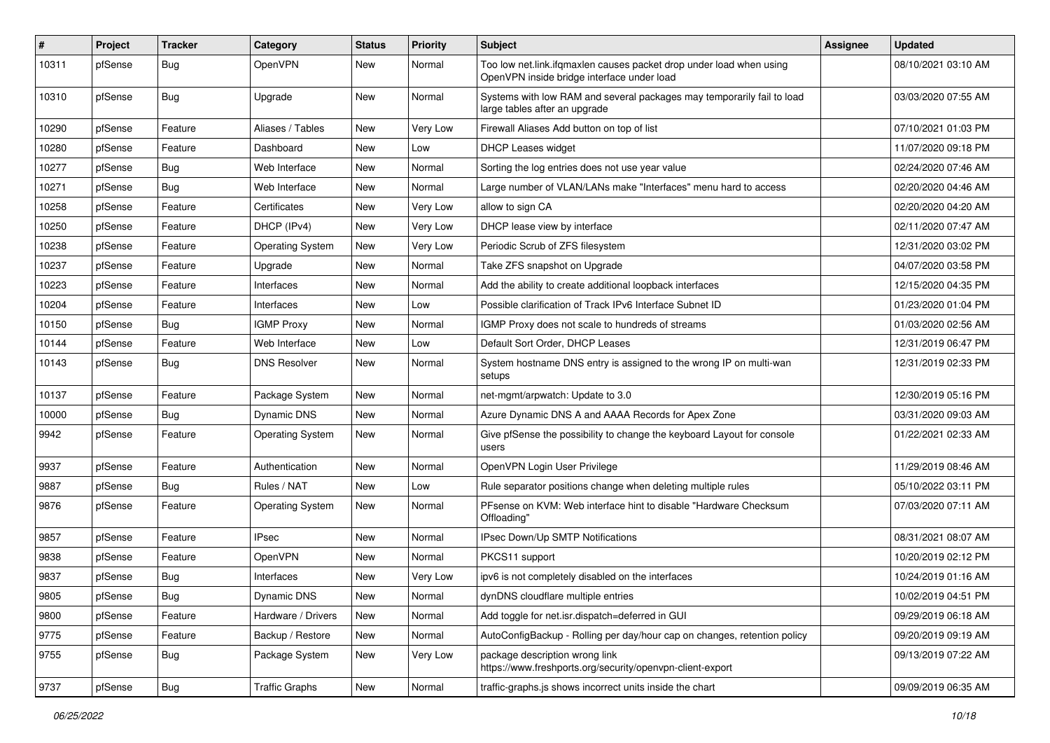| ∦     | Project | <b>Tracker</b> | Category                | <b>Status</b> | <b>Priority</b> | Subject                                                                                                           | Assignee | <b>Updated</b>      |
|-------|---------|----------------|-------------------------|---------------|-----------------|-------------------------------------------------------------------------------------------------------------------|----------|---------------------|
| 10311 | pfSense | Bug            | OpenVPN                 | New           | Normal          | Too low net.link.ifqmaxlen causes packet drop under load when using<br>OpenVPN inside bridge interface under load |          | 08/10/2021 03:10 AM |
| 10310 | pfSense | Bug            | Upgrade                 | New           | Normal          | Systems with low RAM and several packages may temporarily fail to load<br>large tables after an upgrade           |          | 03/03/2020 07:55 AM |
| 10290 | pfSense | Feature        | Aliases / Tables        | New           | Very Low        | Firewall Aliases Add button on top of list                                                                        |          | 07/10/2021 01:03 PM |
| 10280 | pfSense | Feature        | Dashboard               | New           | Low             | <b>DHCP Leases widget</b>                                                                                         |          | 11/07/2020 09:18 PM |
| 10277 | pfSense | Bug            | Web Interface           | New           | Normal          | Sorting the log entries does not use year value                                                                   |          | 02/24/2020 07:46 AM |
| 10271 | pfSense | Bug            | Web Interface           | New           | Normal          | Large number of VLAN/LANs make "Interfaces" menu hard to access                                                   |          | 02/20/2020 04:46 AM |
| 10258 | pfSense | Feature        | Certificates            | New           | Very Low        | allow to sign CA                                                                                                  |          | 02/20/2020 04:20 AM |
| 10250 | pfSense | Feature        | DHCP (IPv4)             | New           | Very Low        | DHCP lease view by interface                                                                                      |          | 02/11/2020 07:47 AM |
| 10238 | pfSense | Feature        | <b>Operating System</b> | New           | Very Low        | Periodic Scrub of ZFS filesystem                                                                                  |          | 12/31/2020 03:02 PM |
| 10237 | pfSense | Feature        | Upgrade                 | New           | Normal          | Take ZFS snapshot on Upgrade                                                                                      |          | 04/07/2020 03:58 PM |
| 10223 | pfSense | Feature        | Interfaces              | <b>New</b>    | Normal          | Add the ability to create additional loopback interfaces                                                          |          | 12/15/2020 04:35 PM |
| 10204 | pfSense | Feature        | Interfaces              | New           | Low             | Possible clarification of Track IPv6 Interface Subnet ID                                                          |          | 01/23/2020 01:04 PM |
| 10150 | pfSense | Bug            | <b>IGMP Proxy</b>       | New           | Normal          | IGMP Proxy does not scale to hundreds of streams                                                                  |          | 01/03/2020 02:56 AM |
| 10144 | pfSense | Feature        | Web Interface           | New           | Low             | Default Sort Order, DHCP Leases                                                                                   |          | 12/31/2019 06:47 PM |
| 10143 | pfSense | <b>Bug</b>     | <b>DNS Resolver</b>     | New           | Normal          | System hostname DNS entry is assigned to the wrong IP on multi-wan<br>setups                                      |          | 12/31/2019 02:33 PM |
| 10137 | pfSense | Feature        | Package System          | <b>New</b>    | Normal          | net-mgmt/arpwatch: Update to 3.0                                                                                  |          | 12/30/2019 05:16 PM |
| 10000 | pfSense | Bug            | Dynamic DNS             | New           | Normal          | Azure Dynamic DNS A and AAAA Records for Apex Zone                                                                |          | 03/31/2020 09:03 AM |
| 9942  | pfSense | Feature        | <b>Operating System</b> | New           | Normal          | Give pfSense the possibility to change the keyboard Layout for console<br>users                                   |          | 01/22/2021 02:33 AM |
| 9937  | pfSense | Feature        | Authentication          | <b>New</b>    | Normal          | OpenVPN Login User Privilege                                                                                      |          | 11/29/2019 08:46 AM |
| 9887  | pfSense | Bug            | Rules / NAT             | New           | Low             | Rule separator positions change when deleting multiple rules                                                      |          | 05/10/2022 03:11 PM |
| 9876  | pfSense | Feature        | <b>Operating System</b> | <b>New</b>    | Normal          | PFsense on KVM: Web interface hint to disable "Hardware Checksum<br>Offloading"                                   |          | 07/03/2020 07:11 AM |
| 9857  | pfSense | Feature        | <b>IPsec</b>            | <b>New</b>    | Normal          | IPsec Down/Up SMTP Notifications                                                                                  |          | 08/31/2021 08:07 AM |
| 9838  | pfSense | Feature        | OpenVPN                 | New           | Normal          | PKCS11 support                                                                                                    |          | 10/20/2019 02:12 PM |
| 9837  | pfSense | <b>Bug</b>     | Interfaces              | <b>New</b>    | Very Low        | ipv6 is not completely disabled on the interfaces                                                                 |          | 10/24/2019 01:16 AM |
| 9805  | pfSense | <b>Bug</b>     | Dynamic DNS             | New           | Normal          | dynDNS cloudflare multiple entries                                                                                |          | 10/02/2019 04:51 PM |
| 9800  | pfSense | Feature        | Hardware / Drivers      | New           | Normal          | Add toggle for net.isr.dispatch=deferred in GUI                                                                   |          | 09/29/2019 06:18 AM |
| 9775  | pfSense | Feature        | Backup / Restore        | New           | Normal          | AutoConfigBackup - Rolling per day/hour cap on changes, retention policy                                          |          | 09/20/2019 09:19 AM |
| 9755  | pfSense | <b>Bug</b>     | Package System          | New           | Very Low        | package description wrong link<br>https://www.freshports.org/security/openvpn-client-export                       |          | 09/13/2019 07:22 AM |
| 9737  | pfSense | Bug            | <b>Traffic Graphs</b>   | New           | Normal          | traffic-graphs is shows incorrect units inside the chart                                                          |          | 09/09/2019 06:35 AM |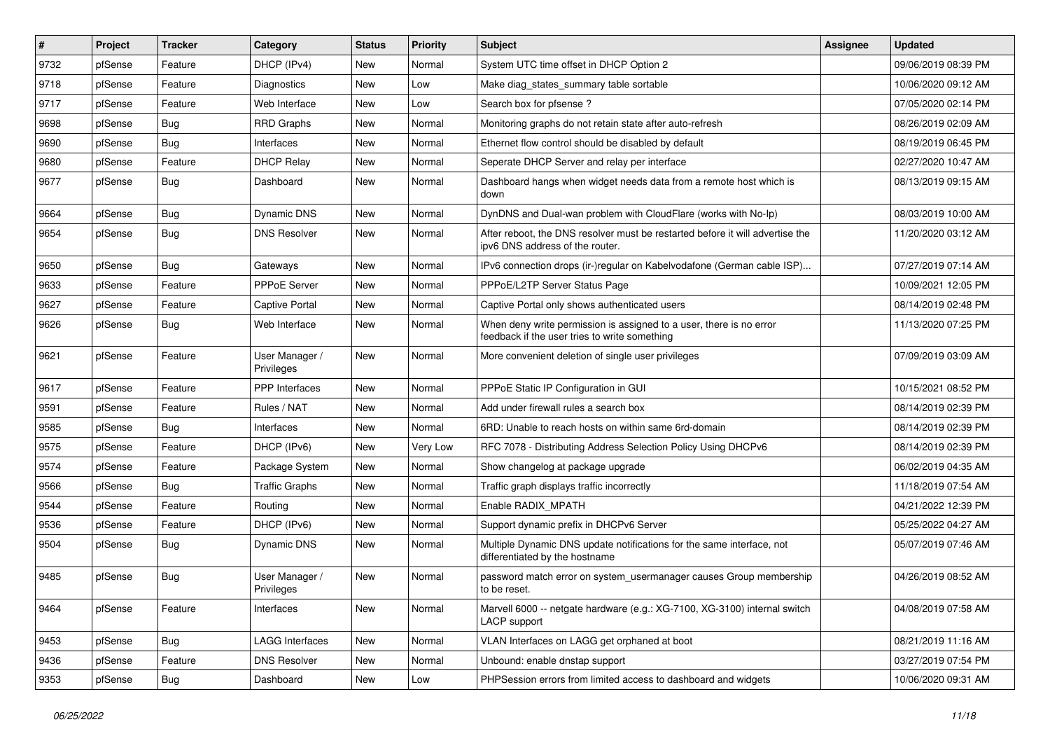| $\vert$ # | Project | <b>Tracker</b> | Category                     | <b>Status</b> | <b>Priority</b> | Subject                                                                                                              | Assignee | <b>Updated</b>      |
|-----------|---------|----------------|------------------------------|---------------|-----------------|----------------------------------------------------------------------------------------------------------------------|----------|---------------------|
| 9732      | pfSense | Feature        | DHCP (IPv4)                  | New           | Normal          | System UTC time offset in DHCP Option 2                                                                              |          | 09/06/2019 08:39 PM |
| 9718      | pfSense | Feature        | Diagnostics                  | New           | Low             | Make diag_states_summary table sortable                                                                              |          | 10/06/2020 09:12 AM |
| 9717      | pfSense | Feature        | Web Interface                | New           | Low             | Search box for pfsense?                                                                                              |          | 07/05/2020 02:14 PM |
| 9698      | pfSense | Bug            | <b>RRD Graphs</b>            | <b>New</b>    | Normal          | Monitoring graphs do not retain state after auto-refresh                                                             |          | 08/26/2019 02:09 AM |
| 9690      | pfSense | Bug            | Interfaces                   | <b>New</b>    | Normal          | Ethernet flow control should be disabled by default                                                                  |          | 08/19/2019 06:45 PM |
| 9680      | pfSense | Feature        | <b>DHCP Relay</b>            | New           | Normal          | Seperate DHCP Server and relay per interface                                                                         |          | 02/27/2020 10:47 AM |
| 9677      | pfSense | Bug            | Dashboard                    | New           | Normal          | Dashboard hangs when widget needs data from a remote host which is<br>down                                           |          | 08/13/2019 09:15 AM |
| 9664      | pfSense | Bug            | Dynamic DNS                  | New           | Normal          | DynDNS and Dual-wan problem with CloudFlare (works with No-Ip)                                                       |          | 08/03/2019 10:00 AM |
| 9654      | pfSense | Bug            | <b>DNS Resolver</b>          | New           | Normal          | After reboot, the DNS resolver must be restarted before it will advertise the<br>ipv6 DNS address of the router.     |          | 11/20/2020 03:12 AM |
| 9650      | pfSense | Bug            | Gateways                     | <b>New</b>    | Normal          | IPv6 connection drops (ir-)regular on Kabelvodafone (German cable ISP)                                               |          | 07/27/2019 07:14 AM |
| 9633      | pfSense | Feature        | PPPoE Server                 | New           | Normal          | PPPoE/L2TP Server Status Page                                                                                        |          | 10/09/2021 12:05 PM |
| 9627      | pfSense | Feature        | Captive Portal               | New           | Normal          | Captive Portal only shows authenticated users                                                                        |          | 08/14/2019 02:48 PM |
| 9626      | pfSense | Bug            | Web Interface                | New           | Normal          | When deny write permission is assigned to a user, there is no error<br>feedback if the user tries to write something |          | 11/13/2020 07:25 PM |
| 9621      | pfSense | Feature        | User Manager /<br>Privileges | New           | Normal          | More convenient deletion of single user privileges                                                                   |          | 07/09/2019 03:09 AM |
| 9617      | pfSense | Feature        | <b>PPP</b> Interfaces        | New           | Normal          | PPPoE Static IP Configuration in GUI                                                                                 |          | 10/15/2021 08:52 PM |
| 9591      | pfSense | Feature        | Rules / NAT                  | New           | Normal          | Add under firewall rules a search box                                                                                |          | 08/14/2019 02:39 PM |
| 9585      | pfSense | Bug            | Interfaces                   | <b>New</b>    | Normal          | 6RD: Unable to reach hosts on within same 6rd-domain                                                                 |          | 08/14/2019 02:39 PM |
| 9575      | pfSense | Feature        | DHCP (IPv6)                  | New           | Very Low        | RFC 7078 - Distributing Address Selection Policy Using DHCPv6                                                        |          | 08/14/2019 02:39 PM |
| 9574      | pfSense | Feature        | Package System               | New           | Normal          | Show changelog at package upgrade                                                                                    |          | 06/02/2019 04:35 AM |
| 9566      | pfSense | Bug            | <b>Traffic Graphs</b>        | New           | Normal          | Traffic graph displays traffic incorrectly                                                                           |          | 11/18/2019 07:54 AM |
| 9544      | pfSense | Feature        | Routing                      | <b>New</b>    | Normal          | Enable RADIX_MPATH                                                                                                   |          | 04/21/2022 12:39 PM |
| 9536      | pfSense | Feature        | DHCP (IPv6)                  | New           | Normal          | Support dynamic prefix in DHCPv6 Server                                                                              |          | 05/25/2022 04:27 AM |
| 9504      | pfSense | Bug            | Dynamic DNS                  | New           | Normal          | Multiple Dynamic DNS update notifications for the same interface, not<br>differentiated by the hostname              |          | 05/07/2019 07:46 AM |
| 9485      | pfSense | Bug            | User Manager /<br>Privileges | New           | Normal          | password match error on system_usermanager causes Group membership<br>to be reset.                                   |          | 04/26/2019 08:52 AM |
| 9464      | pfSense | Feature        | Interfaces                   | New           | Normal          | Marvell 6000 -- netgate hardware (e.g.: XG-7100, XG-3100) internal switch<br>LACP support                            |          | 04/08/2019 07:58 AM |
| 9453      | pfSense | Bug            | LAGG Interfaces              | New           | Normal          | VLAN Interfaces on LAGG get orphaned at boot                                                                         |          | 08/21/2019 11:16 AM |
| 9436      | pfSense | Feature        | <b>DNS Resolver</b>          | New           | Normal          | Unbound: enable dnstap support                                                                                       |          | 03/27/2019 07:54 PM |
| 9353      | pfSense | Bug            | Dashboard                    | New           | Low             | PHPSession errors from limited access to dashboard and widgets                                                       |          | 10/06/2020 09:31 AM |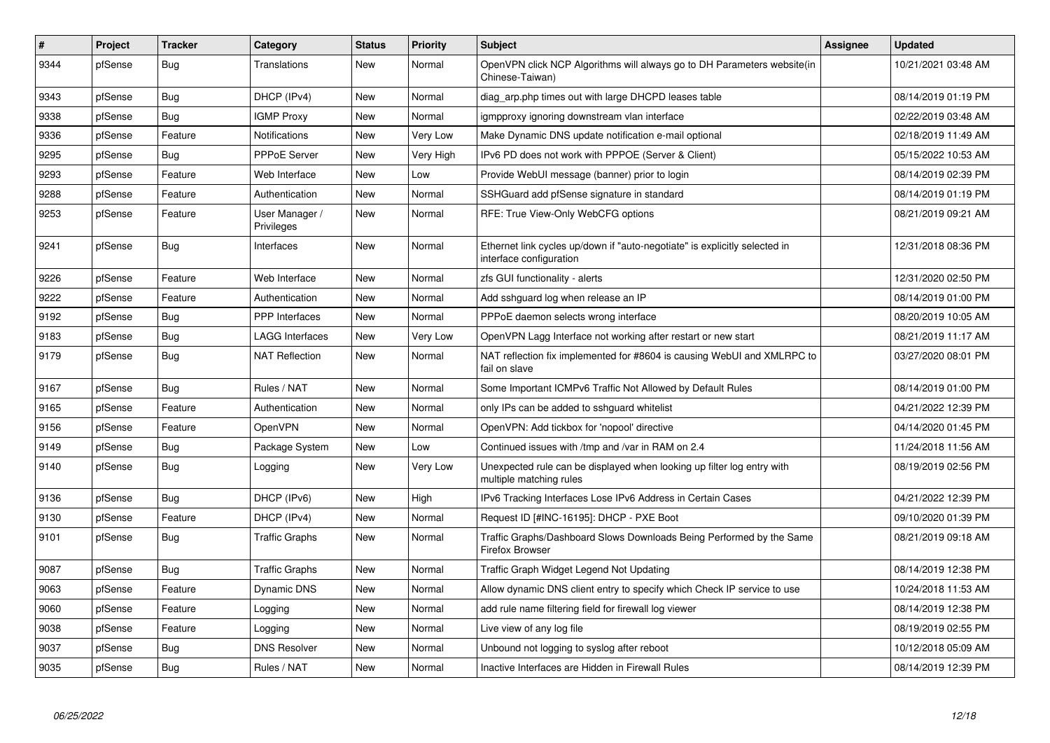| $\pmb{\#}$ | Project | <b>Tracker</b> | Category                     | <b>Status</b> | <b>Priority</b> | <b>Subject</b>                                                                                        | Assignee | <b>Updated</b>      |
|------------|---------|----------------|------------------------------|---------------|-----------------|-------------------------------------------------------------------------------------------------------|----------|---------------------|
| 9344       | pfSense | Bug            | <b>Translations</b>          | <b>New</b>    | Normal          | OpenVPN click NCP Algorithms will always go to DH Parameters website(in<br>Chinese-Taiwan)            |          | 10/21/2021 03:48 AM |
| 9343       | pfSense | Bug            | DHCP (IPv4)                  | <b>New</b>    | Normal          | diag arp.php times out with large DHCPD leases table                                                  |          | 08/14/2019 01:19 PM |
| 9338       | pfSense | Bug            | <b>IGMP Proxy</b>            | <b>New</b>    | Normal          | igmpproxy ignoring downstream vlan interface                                                          |          | 02/22/2019 03:48 AM |
| 9336       | pfSense | Feature        | Notifications                | <b>New</b>    | Very Low        | Make Dynamic DNS update notification e-mail optional                                                  |          | 02/18/2019 11:49 AM |
| 9295       | pfSense | <b>Bug</b>     | <b>PPPoE Server</b>          | <b>New</b>    | Very High       | IPv6 PD does not work with PPPOE (Server & Client)                                                    |          | 05/15/2022 10:53 AM |
| 9293       | pfSense | Feature        | Web Interface                | <b>New</b>    | Low             | Provide WebUI message (banner) prior to login                                                         |          | 08/14/2019 02:39 PM |
| 9288       | pfSense | Feature        | Authentication               | <b>New</b>    | Normal          | SSHGuard add pfSense signature in standard                                                            |          | 08/14/2019 01:19 PM |
| 9253       | pfSense | Feature        | User Manager /<br>Privileges | New           | Normal          | RFE: True View-Only WebCFG options                                                                    |          | 08/21/2019 09:21 AM |
| 9241       | pfSense | Bug            | Interfaces                   | New           | Normal          | Ethernet link cycles up/down if "auto-negotiate" is explicitly selected in<br>interface configuration |          | 12/31/2018 08:36 PM |
| 9226       | pfSense | Feature        | Web Interface                | <b>New</b>    | Normal          | zfs GUI functionality - alerts                                                                        |          | 12/31/2020 02:50 PM |
| 9222       | pfSense | Feature        | Authentication               | <b>New</b>    | Normal          | Add sshguard log when release an IP                                                                   |          | 08/14/2019 01:00 PM |
| 9192       | pfSense | Bug            | PPP Interfaces               | New           | Normal          | PPPoE daemon selects wrong interface                                                                  |          | 08/20/2019 10:05 AM |
| 9183       | pfSense | Bug            | LAGG Interfaces              | <b>New</b>    | Very Low        | OpenVPN Lagg Interface not working after restart or new start                                         |          | 08/21/2019 11:17 AM |
| 9179       | pfSense | <b>Bug</b>     | <b>NAT Reflection</b>        | New           | Normal          | NAT reflection fix implemented for #8604 is causing WebUI and XMLRPC to<br>fail on slave              |          | 03/27/2020 08:01 PM |
| 9167       | pfSense | Bug            | Rules / NAT                  | New           | Normal          | Some Important ICMPv6 Traffic Not Allowed by Default Rules                                            |          | 08/14/2019 01:00 PM |
| 9165       | pfSense | Feature        | Authentication               | <b>New</b>    | Normal          | only IPs can be added to sshguard whitelist                                                           |          | 04/21/2022 12:39 PM |
| 9156       | pfSense | Feature        | <b>OpenVPN</b>               | <b>New</b>    | Normal          | OpenVPN: Add tickbox for 'nopool' directive                                                           |          | 04/14/2020 01:45 PM |
| 9149       | pfSense | Bug            | Package System               | New           | Low             | Continued issues with /tmp and /var in RAM on 2.4                                                     |          | 11/24/2018 11:56 AM |
| 9140       | pfSense | Bug            | Logging                      | New           | Very Low        | Unexpected rule can be displayed when looking up filter log entry with<br>multiple matching rules     |          | 08/19/2019 02:56 PM |
| 9136       | pfSense | Bug            | DHCP (IPv6)                  | <b>New</b>    | High            | IPv6 Tracking Interfaces Lose IPv6 Address in Certain Cases                                           |          | 04/21/2022 12:39 PM |
| 9130       | pfSense | Feature        | DHCP (IPv4)                  | New           | Normal          | Request ID [#INC-16195]: DHCP - PXE Boot                                                              |          | 09/10/2020 01:39 PM |
| 9101       | pfSense | Bug            | <b>Traffic Graphs</b>        | <b>New</b>    | Normal          | Traffic Graphs/Dashboard Slows Downloads Being Performed by the Same<br>Firefox Browser               |          | 08/21/2019 09:18 AM |
| 9087       | pfSense | Bug            | <b>Traffic Graphs</b>        | <b>New</b>    | Normal          | Traffic Graph Widget Legend Not Updating                                                              |          | 08/14/2019 12:38 PM |
| 9063       | pfSense | Feature        | Dynamic DNS                  | New           | Normal          | Allow dynamic DNS client entry to specify which Check IP service to use                               |          | 10/24/2018 11:53 AM |
| 9060       | pfSense | Feature        | Logging                      | <b>New</b>    | Normal          | add rule name filtering field for firewall log viewer                                                 |          | 08/14/2019 12:38 PM |
| 9038       | pfSense | Feature        | Logging                      | <b>New</b>    | Normal          | Live view of any log file                                                                             |          | 08/19/2019 02:55 PM |
| 9037       | pfSense | <b>Bug</b>     | <b>DNS Resolver</b>          | New           | Normal          | Unbound not logging to syslog after reboot                                                            |          | 10/12/2018 05:09 AM |
| 9035       | pfSense | <b>Bug</b>     | Rules / NAT                  | <b>New</b>    | Normal          | Inactive Interfaces are Hidden in Firewall Rules                                                      |          | 08/14/2019 12:39 PM |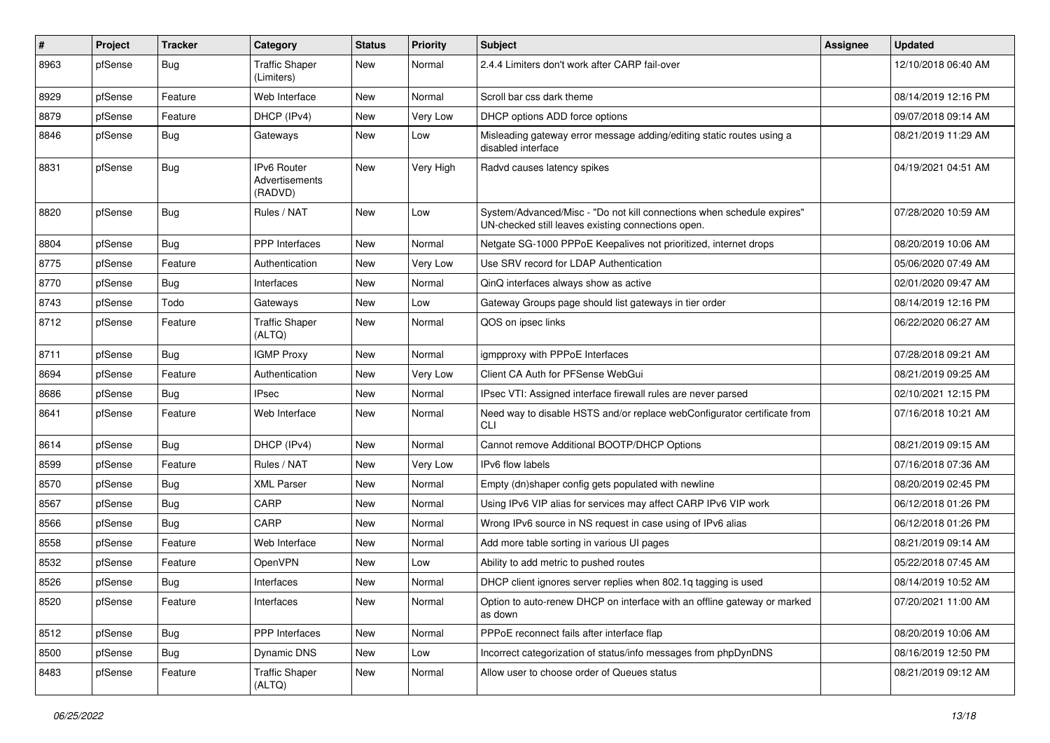| #    | Project | <b>Tracker</b> | Category                                        | <b>Status</b> | <b>Priority</b> | <b>Subject</b>                                                                                                               | <b>Assignee</b> | <b>Updated</b>      |
|------|---------|----------------|-------------------------------------------------|---------------|-----------------|------------------------------------------------------------------------------------------------------------------------------|-----------------|---------------------|
| 8963 | pfSense | <b>Bug</b>     | <b>Traffic Shaper</b><br>(Limiters)             | New           | Normal          | 2.4.4 Limiters don't work after CARP fail-over                                                                               |                 | 12/10/2018 06:40 AM |
| 8929 | pfSense | Feature        | Web Interface                                   | New           | Normal          | Scroll bar css dark theme                                                                                                    |                 | 08/14/2019 12:16 PM |
| 8879 | pfSense | Feature        | DHCP (IPv4)                                     | New           | Very Low        | DHCP options ADD force options                                                                                               |                 | 09/07/2018 09:14 AM |
| 8846 | pfSense | Bug            | Gateways                                        | <b>New</b>    | Low             | Misleading gateway error message adding/editing static routes using a<br>disabled interface                                  |                 | 08/21/2019 11:29 AM |
| 8831 | pfSense | Bug            | <b>IPv6 Router</b><br>Advertisements<br>(RADVD) | <b>New</b>    | Very High       | Radvd causes latency spikes                                                                                                  |                 | 04/19/2021 04:51 AM |
| 8820 | pfSense | Bug            | Rules / NAT                                     | New           | Low             | System/Advanced/Misc - "Do not kill connections when schedule expires"<br>UN-checked still leaves existing connections open. |                 | 07/28/2020 10:59 AM |
| 8804 | pfSense | Bug            | <b>PPP</b> Interfaces                           | New           | Normal          | Netgate SG-1000 PPPoE Keepalives not prioritized, internet drops                                                             |                 | 08/20/2019 10:06 AM |
| 8775 | pfSense | Feature        | Authentication                                  | <b>New</b>    | Very Low        | Use SRV record for LDAP Authentication                                                                                       |                 | 05/06/2020 07:49 AM |
| 8770 | pfSense | Bug            | Interfaces                                      | New           | Normal          | QinQ interfaces always show as active                                                                                        |                 | 02/01/2020 09:47 AM |
| 8743 | pfSense | Todo           | Gateways                                        | New           | Low             | Gateway Groups page should list gateways in tier order                                                                       |                 | 08/14/2019 12:16 PM |
| 8712 | pfSense | Feature        | <b>Traffic Shaper</b><br>(ALTQ)                 | <b>New</b>    | Normal          | QOS on ipsec links                                                                                                           |                 | 06/22/2020 06:27 AM |
| 8711 | pfSense | Bug            | <b>IGMP Proxy</b>                               | <b>New</b>    | Normal          | igmpproxy with PPPoE Interfaces                                                                                              |                 | 07/28/2018 09:21 AM |
| 8694 | pfSense | Feature        | Authentication                                  | New           | Very Low        | Client CA Auth for PFSense WebGui                                                                                            |                 | 08/21/2019 09:25 AM |
| 8686 | pfSense | Bug            | <b>IPsec</b>                                    | New           | Normal          | IPsec VTI: Assigned interface firewall rules are never parsed                                                                |                 | 02/10/2021 12:15 PM |
| 8641 | pfSense | Feature        | Web Interface                                   | New           | Normal          | Need way to disable HSTS and/or replace webConfigurator certificate from<br>CLI                                              |                 | 07/16/2018 10:21 AM |
| 8614 | pfSense | <b>Bug</b>     | DHCP (IPv4)                                     | New           | Normal          | Cannot remove Additional BOOTP/DHCP Options                                                                                  |                 | 08/21/2019 09:15 AM |
| 8599 | pfSense | Feature        | Rules / NAT                                     | New           | Very Low        | IPv6 flow labels                                                                                                             |                 | 07/16/2018 07:36 AM |
| 8570 | pfSense | Bug            | <b>XML Parser</b>                               | New           | Normal          | Empty (dn)shaper config gets populated with newline                                                                          |                 | 08/20/2019 02:45 PM |
| 8567 | pfSense | Bug            | CARP                                            | <b>New</b>    | Normal          | Using IPv6 VIP alias for services may affect CARP IPv6 VIP work                                                              |                 | 06/12/2018 01:26 PM |
| 8566 | pfSense | Bug            | CARP                                            | New           | Normal          | Wrong IPv6 source in NS request in case using of IPv6 alias                                                                  |                 | 06/12/2018 01:26 PM |
| 8558 | pfSense | Feature        | Web Interface                                   | New           | Normal          | Add more table sorting in various UI pages                                                                                   |                 | 08/21/2019 09:14 AM |
| 8532 | pfSense | Feature        | <b>OpenVPN</b>                                  | <b>New</b>    | Low             | Ability to add metric to pushed routes                                                                                       |                 | 05/22/2018 07:45 AM |
| 8526 | pfSense | <b>Bug</b>     | Interfaces                                      | New           | Normal          | DHCP client ignores server replies when 802.1q tagging is used                                                               |                 | 08/14/2019 10:52 AM |
| 8520 | pfSense | Feature        | Interfaces                                      | New           | Normal          | Option to auto-renew DHCP on interface with an offline gateway or marked<br>as down                                          |                 | 07/20/2021 11:00 AM |
| 8512 | pfSense | <b>Bug</b>     | PPP Interfaces                                  | New           | Normal          | PPPoE reconnect fails after interface flap                                                                                   |                 | 08/20/2019 10:06 AM |
| 8500 | pfSense | Bug            | Dynamic DNS                                     | New           | Low             | Incorrect categorization of status/info messages from phpDynDNS                                                              |                 | 08/16/2019 12:50 PM |
| 8483 | pfSense | Feature        | <b>Traffic Shaper</b><br>(ALTQ)                 | New           | Normal          | Allow user to choose order of Queues status                                                                                  |                 | 08/21/2019 09:12 AM |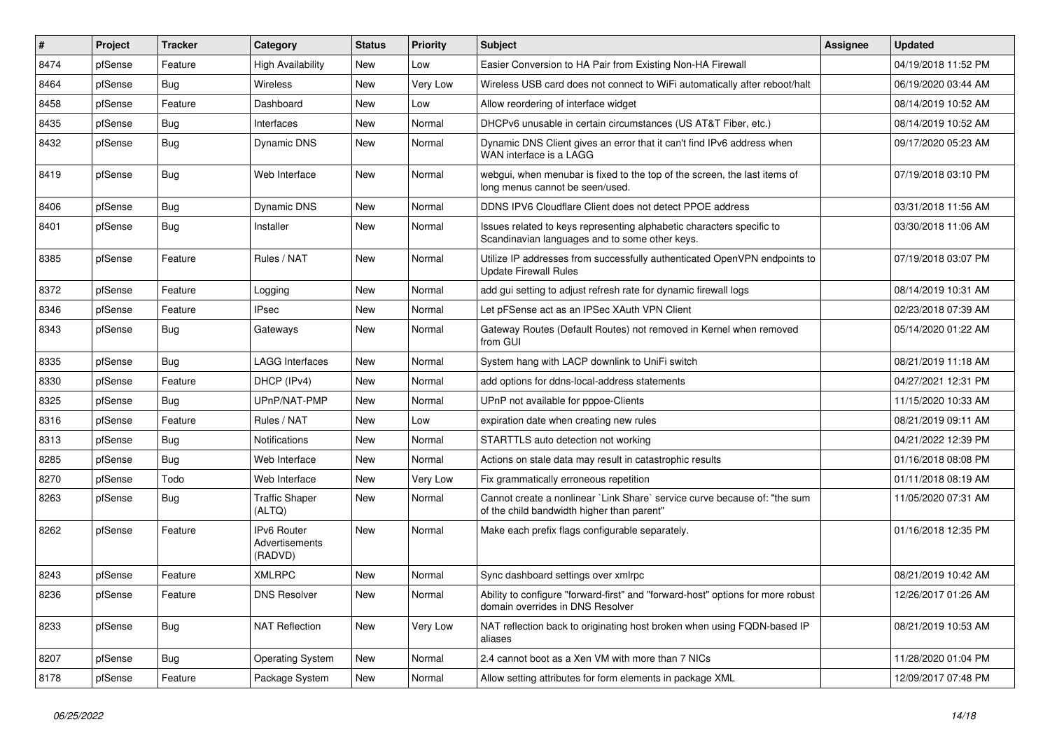| $\sharp$ | Project | <b>Tracker</b> | Category                                 | <b>Status</b> | <b>Priority</b> | Subject                                                                                                                 | <b>Assignee</b> | <b>Updated</b>      |
|----------|---------|----------------|------------------------------------------|---------------|-----------------|-------------------------------------------------------------------------------------------------------------------------|-----------------|---------------------|
| 8474     | pfSense | Feature        | <b>High Availability</b>                 | New           | Low             | Easier Conversion to HA Pair from Existing Non-HA Firewall                                                              |                 | 04/19/2018 11:52 PM |
| 8464     | pfSense | Bug            | <b>Wireless</b>                          | <b>New</b>    | Very Low        | Wireless USB card does not connect to WiFi automatically after reboot/halt                                              |                 | 06/19/2020 03:44 AM |
| 8458     | pfSense | Feature        | Dashboard                                | New           | Low             | Allow reordering of interface widget                                                                                    |                 | 08/14/2019 10:52 AM |
| 8435     | pfSense | <b>Bug</b>     | Interfaces                               | New           | Normal          | DHCPv6 unusable in certain circumstances (US AT&T Fiber, etc.)                                                          |                 | 08/14/2019 10:52 AM |
| 8432     | pfSense | <b>Bug</b>     | <b>Dynamic DNS</b>                       | New           | Normal          | Dynamic DNS Client gives an error that it can't find IPv6 address when<br>WAN interface is a LAGG                       |                 | 09/17/2020 05:23 AM |
| 8419     | pfSense | Bug            | Web Interface                            | New           | Normal          | webgui, when menubar is fixed to the top of the screen, the last items of<br>long menus cannot be seen/used.            |                 | 07/19/2018 03:10 PM |
| 8406     | pfSense | Bug            | <b>Dynamic DNS</b>                       | New           | Normal          | DDNS IPV6 Cloudflare Client does not detect PPOE address                                                                |                 | 03/31/2018 11:56 AM |
| 8401     | pfSense | Bug            | Installer                                | New           | Normal          | Issues related to keys representing alphabetic characters specific to<br>Scandinavian languages and to some other keys. |                 | 03/30/2018 11:06 AM |
| 8385     | pfSense | Feature        | Rules / NAT                              | New           | Normal          | Utilize IP addresses from successfully authenticated OpenVPN endpoints to<br><b>Update Firewall Rules</b>               |                 | 07/19/2018 03:07 PM |
| 8372     | pfSense | Feature        | Logging                                  | New           | Normal          | add gui setting to adjust refresh rate for dynamic firewall logs                                                        |                 | 08/14/2019 10:31 AM |
| 8346     | pfSense | Feature        | <b>IPsec</b>                             | New           | Normal          | Let pFSense act as an IPSec XAuth VPN Client                                                                            |                 | 02/23/2018 07:39 AM |
| 8343     | pfSense | Bug            | Gateways                                 | New           | Normal          | Gateway Routes (Default Routes) not removed in Kernel when removed<br>from GUI                                          |                 | 05/14/2020 01:22 AM |
| 8335     | pfSense | Bug            | LAGG Interfaces                          | New           | Normal          | System hang with LACP downlink to UniFi switch                                                                          |                 | 08/21/2019 11:18 AM |
| 8330     | pfSense | Feature        | DHCP (IPv4)                              | <b>New</b>    | Normal          | add options for ddns-local-address statements                                                                           |                 | 04/27/2021 12:31 PM |
| 8325     | pfSense | Bug            | UPnP/NAT-PMP                             | New           | Normal          | UPnP not available for pppoe-Clients                                                                                    |                 | 11/15/2020 10:33 AM |
| 8316     | pfSense | Feature        | Rules / NAT                              | <b>New</b>    | Low             | expiration date when creating new rules                                                                                 |                 | 08/21/2019 09:11 AM |
| 8313     | pfSense | Bug            | Notifications                            | New           | Normal          | STARTTLS auto detection not working                                                                                     |                 | 04/21/2022 12:39 PM |
| 8285     | pfSense | Bug            | Web Interface                            | New           | Normal          | Actions on stale data may result in catastrophic results                                                                |                 | 01/16/2018 08:08 PM |
| 8270     | pfSense | Todo           | Web Interface                            | <b>New</b>    | Very Low        | Fix grammatically erroneous repetition                                                                                  |                 | 01/11/2018 08:19 AM |
| 8263     | pfSense | <b>Bug</b>     | <b>Traffic Shaper</b><br>(ALTQ)          | New           | Normal          | Cannot create a nonlinear `Link Share` service curve because of: "the sum<br>of the child bandwidth higher than parent" |                 | 11/05/2020 07:31 AM |
| 8262     | pfSense | Feature        | IPv6 Router<br>Advertisements<br>(RADVD) | New           | Normal          | Make each prefix flags configurable separately.                                                                         |                 | 01/16/2018 12:35 PM |
| 8243     | pfSense | Feature        | <b>XMLRPC</b>                            | New           | Normal          | Sync dashboard settings over xmlrpc                                                                                     |                 | 08/21/2019 10:42 AM |
| 8236     | pfSense | Feature        | <b>DNS Resolver</b>                      | New           | Normal          | Ability to configure "forward-first" and "forward-host" options for more robust<br>domain overrides in DNS Resolver     |                 | 12/26/2017 01:26 AM |
| 8233     | pfSense | <b>Bug</b>     | <b>NAT Reflection</b>                    | New           | Very Low        | NAT reflection back to originating host broken when using FQDN-based IP<br>aliases                                      |                 | 08/21/2019 10:53 AM |
| 8207     | pfSense | Bug            | <b>Operating System</b>                  | New           | Normal          | 2.4 cannot boot as a Xen VM with more than 7 NICs                                                                       |                 | 11/28/2020 01:04 PM |
| 8178     | pfSense | Feature        | Package System                           | New           | Normal          | Allow setting attributes for form elements in package XML                                                               |                 | 12/09/2017 07:48 PM |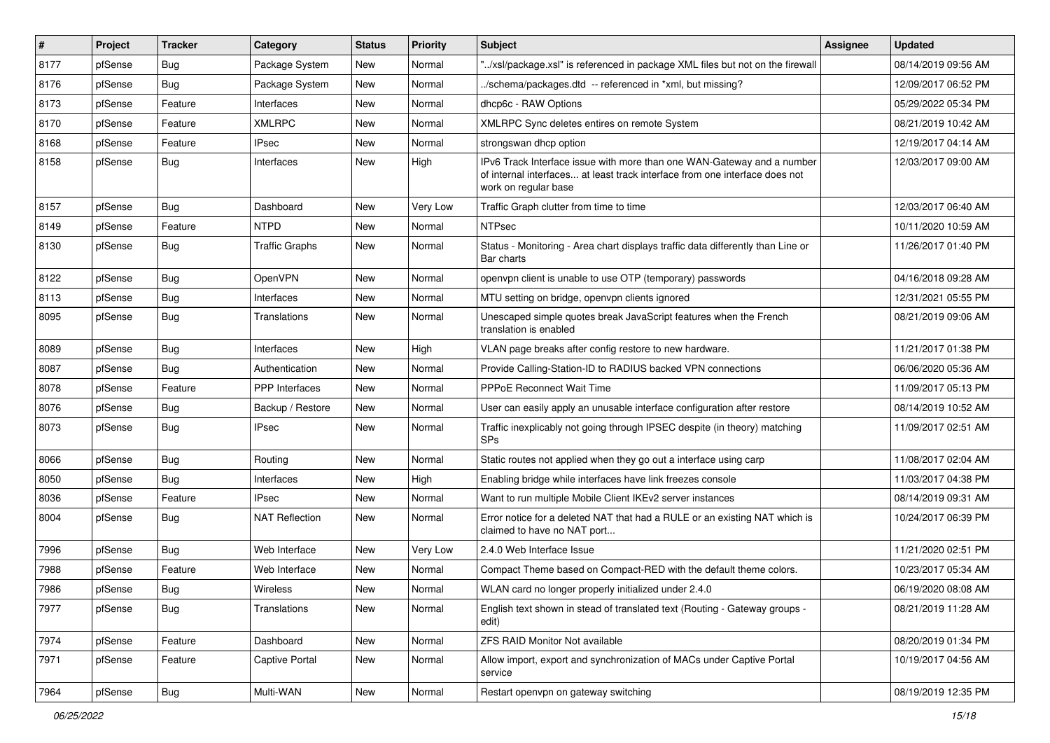| #    | Project | <b>Tracker</b> | Category              | <b>Status</b> | <b>Priority</b> | Subject                                                                                                                                                                       | <b>Assignee</b> | <b>Updated</b>      |
|------|---------|----------------|-----------------------|---------------|-----------------|-------------------------------------------------------------------------------------------------------------------------------------------------------------------------------|-----------------|---------------------|
| 8177 | pfSense | Bug            | Package System        | New           | Normal          | "/xsl/package.xsl" is referenced in package XML files but not on the firewall                                                                                                 |                 | 08/14/2019 09:56 AM |
| 8176 | pfSense | Bug            | Package System        | <b>New</b>    | Normal          | /schema/packages.dtd -- referenced in *xml, but missing?                                                                                                                      |                 | 12/09/2017 06:52 PM |
| 8173 | pfSense | Feature        | Interfaces            | New           | Normal          | dhcp6c - RAW Options                                                                                                                                                          |                 | 05/29/2022 05:34 PM |
| 8170 | pfSense | Feature        | XMLRPC                | New           | Normal          | XMLRPC Sync deletes entires on remote System                                                                                                                                  |                 | 08/21/2019 10:42 AM |
| 8168 | pfSense | Feature        | <b>IPsec</b>          | New           | Normal          | strongswan dhcp option                                                                                                                                                        |                 | 12/19/2017 04:14 AM |
| 8158 | pfSense | Bug            | Interfaces            | New           | High            | IPv6 Track Interface issue with more than one WAN-Gateway and a number<br>of internal interfaces at least track interface from one interface does not<br>work on regular base |                 | 12/03/2017 09:00 AM |
| 8157 | pfSense | Bug            | Dashboard             | New           | Very Low        | Traffic Graph clutter from time to time                                                                                                                                       |                 | 12/03/2017 06:40 AM |
| 8149 | pfSense | Feature        | <b>NTPD</b>           | New           | Normal          | <b>NTPsec</b>                                                                                                                                                                 |                 | 10/11/2020 10:59 AM |
| 8130 | pfSense | Bug            | <b>Traffic Graphs</b> | New           | Normal          | Status - Monitoring - Area chart displays traffic data differently than Line or<br>Bar charts                                                                                 |                 | 11/26/2017 01:40 PM |
| 8122 | pfSense | Bug            | <b>OpenVPN</b>        | <b>New</b>    | Normal          | openvpn client is unable to use OTP (temporary) passwords                                                                                                                     |                 | 04/16/2018 09:28 AM |
| 8113 | pfSense | Bug            | Interfaces            | New           | Normal          | MTU setting on bridge, openypn clients ignored                                                                                                                                |                 | 12/31/2021 05:55 PM |
| 8095 | pfSense | Bug            | Translations          | New           | Normal          | Unescaped simple quotes break JavaScript features when the French<br>translation is enabled                                                                                   |                 | 08/21/2019 09:06 AM |
| 8089 | pfSense | Bug            | Interfaces            | New           | High            | VLAN page breaks after config restore to new hardware.                                                                                                                        |                 | 11/21/2017 01:38 PM |
| 8087 | pfSense | Bug            | Authentication        | New           | Normal          | Provide Calling-Station-ID to RADIUS backed VPN connections                                                                                                                   |                 | 06/06/2020 05:36 AM |
| 8078 | pfSense | Feature        | PPP Interfaces        | <b>New</b>    | Normal          | <b>PPPoE Reconnect Wait Time</b>                                                                                                                                              |                 | 11/09/2017 05:13 PM |
| 8076 | pfSense | Bug            | Backup / Restore      | New           | Normal          | User can easily apply an unusable interface configuration after restore                                                                                                       |                 | 08/14/2019 10:52 AM |
| 8073 | pfSense | <b>Bug</b>     | <b>IPsec</b>          | New           | Normal          | Traffic inexplicably not going through IPSEC despite (in theory) matching<br><b>SPs</b>                                                                                       |                 | 11/09/2017 02:51 AM |
| 8066 | pfSense | Bug            | Routing               | New           | Normal          | Static routes not applied when they go out a interface using carp                                                                                                             |                 | 11/08/2017 02:04 AM |
| 8050 | pfSense | Bug            | Interfaces            | New           | High            | Enabling bridge while interfaces have link freezes console                                                                                                                    |                 | 11/03/2017 04:38 PM |
| 8036 | pfSense | Feature        | <b>IPsec</b>          | New           | Normal          | Want to run multiple Mobile Client IKEv2 server instances                                                                                                                     |                 | 08/14/2019 09:31 AM |
| 8004 | pfSense | Bug            | <b>NAT Reflection</b> | New           | Normal          | Error notice for a deleted NAT that had a RULE or an existing NAT which is<br>claimed to have no NAT port                                                                     |                 | 10/24/2017 06:39 PM |
| 7996 | pfSense | Bug            | Web Interface         | New           | Very Low        | 2.4.0 Web Interface Issue                                                                                                                                                     |                 | 11/21/2020 02:51 PM |
| 7988 | pfSense | Feature        | Web Interface         | <b>New</b>    | Normal          | Compact Theme based on Compact-RED with the default theme colors.                                                                                                             |                 | 10/23/2017 05:34 AM |
| 7986 | pfSense | Bug            | Wireless              | New           | Normal          | WLAN card no longer properly initialized under 2.4.0                                                                                                                          |                 | 06/19/2020 08:08 AM |
| 7977 | pfSense | Bug            | Translations          | New           | Normal          | English text shown in stead of translated text (Routing - Gateway groups -<br>edit)                                                                                           |                 | 08/21/2019 11:28 AM |
| 7974 | pfSense | Feature        | Dashboard             | New           | Normal          | <b>ZFS RAID Monitor Not available</b>                                                                                                                                         |                 | 08/20/2019 01:34 PM |
| 7971 | pfSense | Feature        | Captive Portal        | New           | Normal          | Allow import, export and synchronization of MACs under Captive Portal<br>service                                                                                              |                 | 10/19/2017 04:56 AM |
| 7964 | pfSense | Bug            | Multi-WAN             | New           | Normal          | Restart openvpn on gateway switching                                                                                                                                          |                 | 08/19/2019 12:35 PM |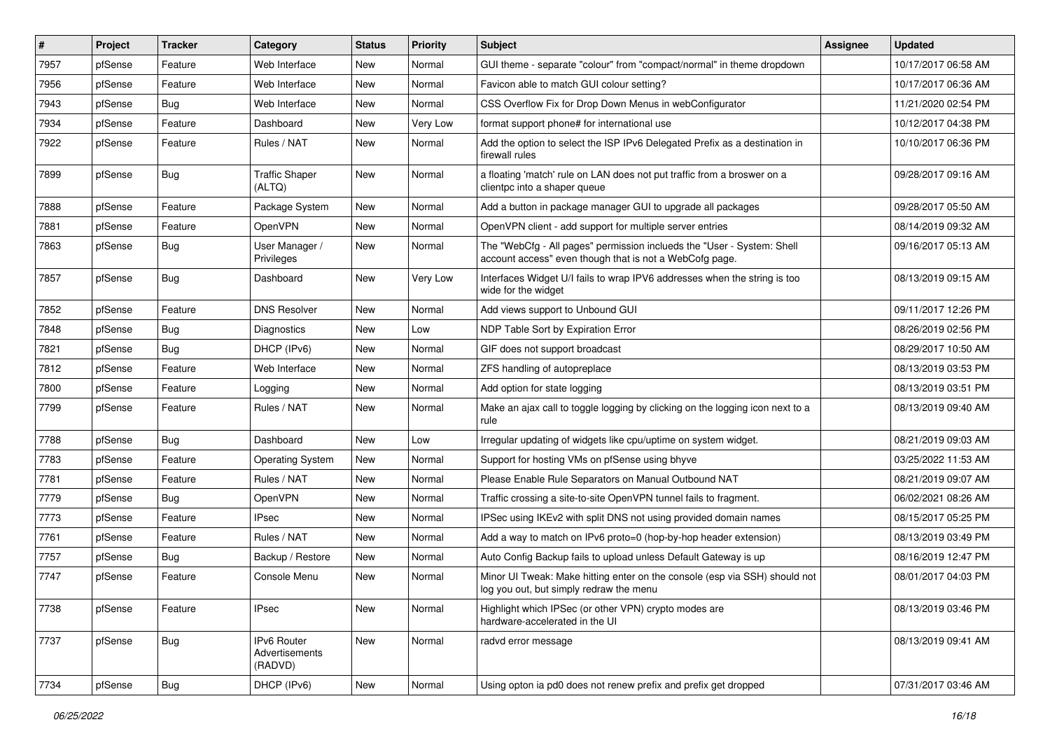| $\pmb{\#}$ | Project | <b>Tracker</b> | Category                                        | <b>Status</b> | <b>Priority</b> | Subject                                                                                                                           | <b>Assignee</b> | <b>Updated</b>      |
|------------|---------|----------------|-------------------------------------------------|---------------|-----------------|-----------------------------------------------------------------------------------------------------------------------------------|-----------------|---------------------|
| 7957       | pfSense | Feature        | Web Interface                                   | New           | Normal          | GUI theme - separate "colour" from "compact/normal" in theme dropdown                                                             |                 | 10/17/2017 06:58 AM |
| 7956       | pfSense | Feature        | Web Interface                                   | <b>New</b>    | Normal          | Favicon able to match GUI colour setting?                                                                                         |                 | 10/17/2017 06:36 AM |
| 7943       | pfSense | Bug            | Web Interface                                   | New           | Normal          | CSS Overflow Fix for Drop Down Menus in webConfigurator                                                                           |                 | 11/21/2020 02:54 PM |
| 7934       | pfSense | Feature        | Dashboard                                       | New           | Very Low        | format support phone# for international use                                                                                       |                 | 10/12/2017 04:38 PM |
| 7922       | pfSense | Feature        | Rules / NAT                                     | <b>New</b>    | Normal          | Add the option to select the ISP IPv6 Delegated Prefix as a destination in<br>firewall rules                                      |                 | 10/10/2017 06:36 PM |
| 7899       | pfSense | Bug            | <b>Traffic Shaper</b><br>(ALTQ)                 | New           | Normal          | a floating 'match' rule on LAN does not put traffic from a broswer on a<br>clientpc into a shaper queue                           |                 | 09/28/2017 09:16 AM |
| 7888       | pfSense | Feature        | Package System                                  | New           | Normal          | Add a button in package manager GUI to upgrade all packages                                                                       |                 | 09/28/2017 05:50 AM |
| 7881       | pfSense | Feature        | <b>OpenVPN</b>                                  | <b>New</b>    | Normal          | OpenVPN client - add support for multiple server entries                                                                          |                 | 08/14/2019 09:32 AM |
| 7863       | pfSense | Bug            | User Manager /<br>Privileges                    | New           | Normal          | The "WebCfg - All pages" permission inclueds the "User - System: Shell<br>account access" even though that is not a WebCofg page. |                 | 09/16/2017 05:13 AM |
| 7857       | pfSense | Bug            | Dashboard                                       | New           | Very Low        | Interfaces Widget U/I fails to wrap IPV6 addresses when the string is too<br>wide for the widget                                  |                 | 08/13/2019 09:15 AM |
| 7852       | pfSense | Feature        | <b>DNS Resolver</b>                             | <b>New</b>    | Normal          | Add views support to Unbound GUI                                                                                                  |                 | 09/11/2017 12:26 PM |
| 7848       | pfSense | <b>Bug</b>     | Diagnostics                                     | <b>New</b>    | Low             | NDP Table Sort by Expiration Error                                                                                                |                 | 08/26/2019 02:56 PM |
| 7821       | pfSense | <b>Bug</b>     | DHCP (IPv6)                                     | New           | Normal          | GIF does not support broadcast                                                                                                    |                 | 08/29/2017 10:50 AM |
| 7812       | pfSense | Feature        | Web Interface                                   | New           | Normal          | ZFS handling of autopreplace                                                                                                      |                 | 08/13/2019 03:53 PM |
| 7800       | pfSense | Feature        | Logging                                         | New           | Normal          | Add option for state logging                                                                                                      |                 | 08/13/2019 03:51 PM |
| 7799       | pfSense | Feature        | Rules / NAT                                     | New           | Normal          | Make an ajax call to toggle logging by clicking on the logging icon next to a<br>rule                                             |                 | 08/13/2019 09:40 AM |
| 7788       | pfSense | Bug            | Dashboard                                       | New           | Low             | Irregular updating of widgets like cpu/uptime on system widget.                                                                   |                 | 08/21/2019 09:03 AM |
| 7783       | pfSense | Feature        | <b>Operating System</b>                         | New           | Normal          | Support for hosting VMs on pfSense using bhyve                                                                                    |                 | 03/25/2022 11:53 AM |
| 7781       | pfSense | Feature        | Rules / NAT                                     | New           | Normal          | Please Enable Rule Separators on Manual Outbound NAT                                                                              |                 | 08/21/2019 09:07 AM |
| 7779       | pfSense | <b>Bug</b>     | OpenVPN                                         | New           | Normal          | Traffic crossing a site-to-site OpenVPN tunnel fails to fragment.                                                                 |                 | 06/02/2021 08:26 AM |
| 7773       | pfSense | Feature        | IPsec                                           | New           | Normal          | IPSec using IKEv2 with split DNS not using provided domain names                                                                  |                 | 08/15/2017 05:25 PM |
| 7761       | pfSense | Feature        | Rules / NAT                                     | New           | Normal          | Add a way to match on IPv6 proto=0 (hop-by-hop header extension)                                                                  |                 | 08/13/2019 03:49 PM |
| 7757       | pfSense | <b>Bug</b>     | Backup / Restore                                | New           | Normal          | Auto Config Backup fails to upload unless Default Gateway is up                                                                   |                 | 08/16/2019 12:47 PM |
| 7747       | pfSense | Feature        | Console Menu                                    | New           | Normal          | Minor UI Tweak: Make hitting enter on the console (esp via SSH) should not<br>log you out, but simply redraw the menu             |                 | 08/01/2017 04:03 PM |
| 7738       | pfSense | Feature        | <b>IPsec</b>                                    | New           | Normal          | Highlight which IPSec (or other VPN) crypto modes are<br>hardware-accelerated in the UI                                           |                 | 08/13/2019 03:46 PM |
| 7737       | pfSense | Bug            | <b>IPv6 Router</b><br>Advertisements<br>(RADVD) | New           | Normal          | radvd error message                                                                                                               |                 | 08/13/2019 09:41 AM |
| 7734       | pfSense | Bug            | DHCP (IPv6)                                     | New           | Normal          | Using opton ia pd0 does not renew prefix and prefix get dropped                                                                   |                 | 07/31/2017 03:46 AM |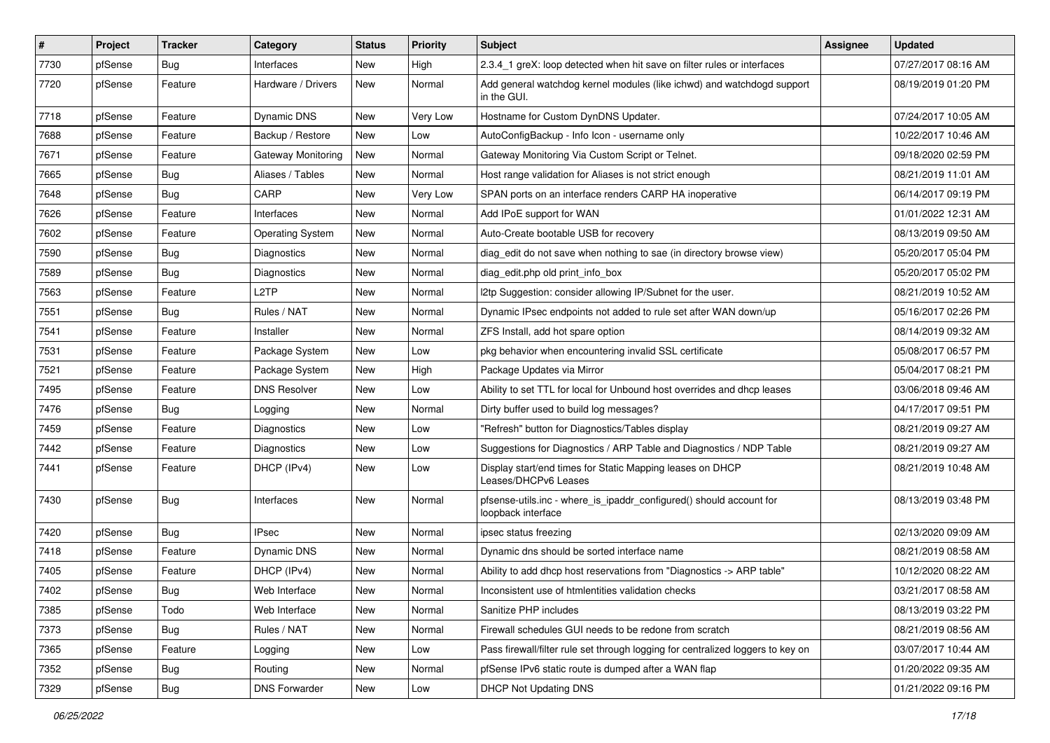| #    | Project | <b>Tracker</b> | Category                | <b>Status</b> | <b>Priority</b> | <b>Subject</b>                                                                            | <b>Assignee</b> | <b>Updated</b>      |
|------|---------|----------------|-------------------------|---------------|-----------------|-------------------------------------------------------------------------------------------|-----------------|---------------------|
| 7730 | pfSense | <b>Bug</b>     | Interfaces              | New           | High            | 2.3.4 1 greX: loop detected when hit save on filter rules or interfaces                   |                 | 07/27/2017 08:16 AM |
| 7720 | pfSense | Feature        | Hardware / Drivers      | New           | Normal          | Add general watchdog kernel modules (like ichwd) and watchdogd support<br>in the GUI.     |                 | 08/19/2019 01:20 PM |
| 7718 | pfSense | Feature        | Dynamic DNS             | New           | <b>Very Low</b> | Hostname for Custom DynDNS Updater.                                                       |                 | 07/24/2017 10:05 AM |
| 7688 | pfSense | Feature        | Backup / Restore        | New           | Low             | AutoConfigBackup - Info Icon - username only                                              |                 | 10/22/2017 10:46 AM |
| 7671 | pfSense | Feature        | Gateway Monitoring      | New           | Normal          | Gateway Monitoring Via Custom Script or Telnet.                                           |                 | 09/18/2020 02:59 PM |
| 7665 | pfSense | <b>Bug</b>     | Aliases / Tables        | New           | Normal          | Host range validation for Aliases is not strict enough                                    |                 | 08/21/2019 11:01 AM |
| 7648 | pfSense | <b>Bug</b>     | CARP                    | <b>New</b>    | Very Low        | SPAN ports on an interface renders CARP HA inoperative                                    |                 | 06/14/2017 09:19 PM |
| 7626 | pfSense | Feature        | Interfaces              | New           | Normal          | Add IPoE support for WAN                                                                  |                 | 01/01/2022 12:31 AM |
| 7602 | pfSense | Feature        | <b>Operating System</b> | <b>New</b>    | Normal          | Auto-Create bootable USB for recovery                                                     |                 | 08/13/2019 09:50 AM |
| 7590 | pfSense | <b>Bug</b>     | Diagnostics             | New           | Normal          | diag edit do not save when nothing to sae (in directory browse view)                      |                 | 05/20/2017 05:04 PM |
| 7589 | pfSense | <b>Bug</b>     | Diagnostics             | New           | Normal          | diag_edit.php old print_info_box                                                          |                 | 05/20/2017 05:02 PM |
| 7563 | pfSense | Feature        | L2TP                    | New           | Normal          | I2tp Suggestion: consider allowing IP/Subnet for the user.                                |                 | 08/21/2019 10:52 AM |
| 7551 | pfSense | <b>Bug</b>     | Rules / NAT             | New           | Normal          | Dynamic IPsec endpoints not added to rule set after WAN down/up                           |                 | 05/16/2017 02:26 PM |
| 7541 | pfSense | Feature        | Installer               | New           | Normal          | ZFS Install, add hot spare option                                                         |                 | 08/14/2019 09:32 AM |
| 7531 | pfSense | Feature        | Package System          | New           | Low             | pkg behavior when encountering invalid SSL certificate                                    |                 | 05/08/2017 06:57 PM |
| 7521 | pfSense | Feature        | Package System          | New           | High            | Package Updates via Mirror                                                                |                 | 05/04/2017 08:21 PM |
| 7495 | pfSense | Feature        | <b>DNS Resolver</b>     | New           | Low             | Ability to set TTL for local for Unbound host overrides and dhcp leases                   |                 | 03/06/2018 09:46 AM |
| 7476 | pfSense | Bug            | Logging                 | New           | Normal          | Dirty buffer used to build log messages?                                                  |                 | 04/17/2017 09:51 PM |
| 7459 | pfSense | Feature        | Diagnostics             | New           | Low             | "Refresh" button for Diagnostics/Tables display                                           |                 | 08/21/2019 09:27 AM |
| 7442 | pfSense | Feature        | Diagnostics             | New           | Low             | Suggestions for Diagnostics / ARP Table and Diagnostics / NDP Table                       |                 | 08/21/2019 09:27 AM |
| 7441 | pfSense | Feature        | DHCP (IPv4)             | New           | Low             | Display start/end times for Static Mapping leases on DHCP<br>Leases/DHCPv6 Leases         |                 | 08/21/2019 10:48 AM |
| 7430 | pfSense | Bug            | Interfaces              | New           | Normal          | pfsense-utils.inc - where_is_ipaddr_configured() should account for<br>loopback interface |                 | 08/13/2019 03:48 PM |
| 7420 | pfSense | Bug            | <b>IPsec</b>            | New           | Normal          | ipsec status freezing                                                                     |                 | 02/13/2020 09:09 AM |
| 7418 | pfSense | Feature        | Dynamic DNS             | New           | Normal          | Dynamic dns should be sorted interface name                                               |                 | 08/21/2019 08:58 AM |
| 7405 | pfSense | Feature        | DHCP (IPv4)             | New           | Normal          | Ability to add dhcp host reservations from "Diagnostics -> ARP table"                     |                 | 10/12/2020 08:22 AM |
| 7402 | pfSense | Bug            | Web Interface           | New           | Normal          | Inconsistent use of htmlentities validation checks                                        |                 | 03/21/2017 08:58 AM |
| 7385 | pfSense | Todo           | Web Interface           | New           | Normal          | Sanitize PHP includes                                                                     |                 | 08/13/2019 03:22 PM |
| 7373 | pfSense | Bug            | Rules / NAT             | New           | Normal          | Firewall schedules GUI needs to be redone from scratch                                    |                 | 08/21/2019 08:56 AM |
| 7365 | pfSense | Feature        | Logging                 | New           | Low             | Pass firewall/filter rule set through logging for centralized loggers to key on           |                 | 03/07/2017 10:44 AM |
| 7352 | pfSense | Bug            | Routing                 | New           | Normal          | pfSense IPv6 static route is dumped after a WAN flap                                      |                 | 01/20/2022 09:35 AM |
| 7329 | pfSense | Bug            | <b>DNS Forwarder</b>    | New           | Low             | <b>DHCP Not Updating DNS</b>                                                              |                 | 01/21/2022 09:16 PM |